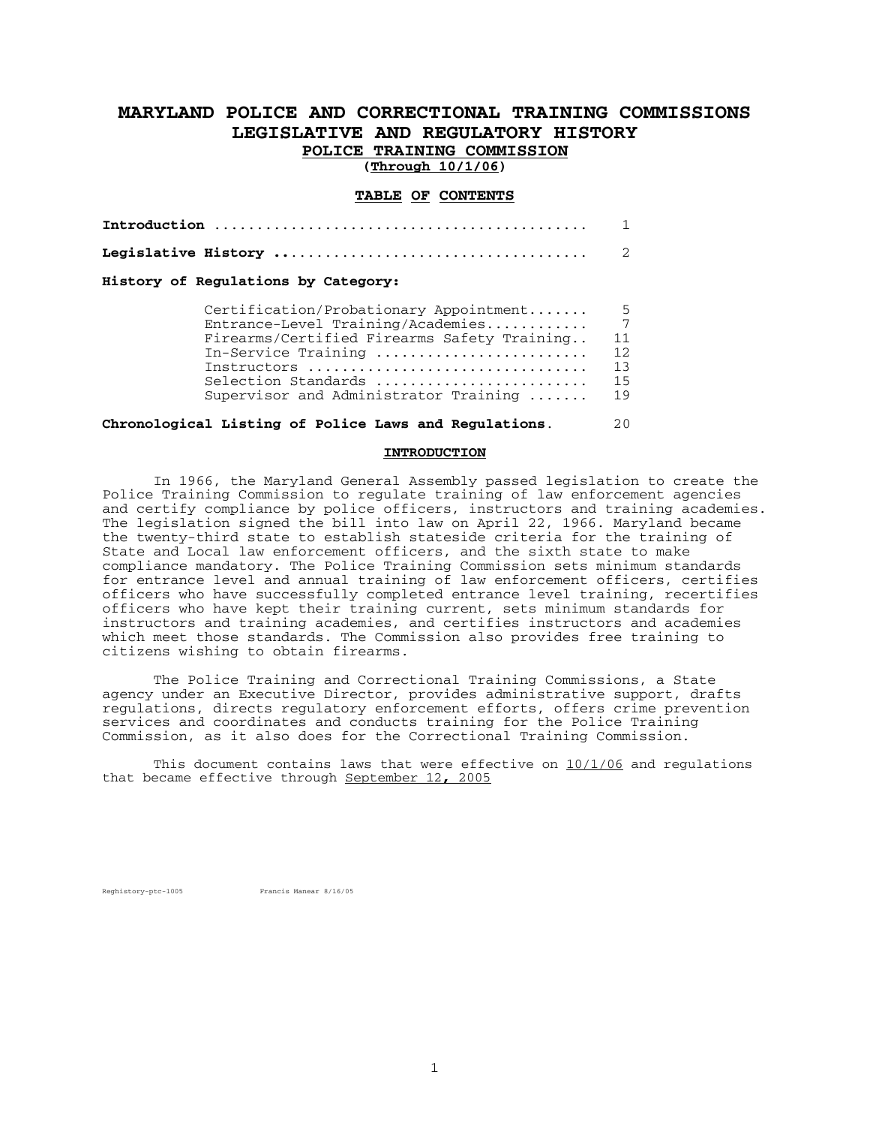# **MARYLAND POLICE AND CORRECTIONAL TRAINING COMMISSIONS LEGISLATIVE AND REGULATORY HISTORY POLICE TRAINING COMMISSION**

**(Through 10/1/06)** 

# **TABLE OF CONTENTS**

**Introduction** ............................................ 1 **Legislative History ..**................................... 2

# **History of Regulations by Category:**

| Certification/Probationary Appointment      | - 5  |
|---------------------------------------------|------|
| Entrance-Level Training/Academies           |      |
| Firearms/Certified Firearms Safety Training | -11  |
| In-Service Training                         | 12   |
| Instructors                                 | - 13 |
| Selection Standards                         | 15   |
| Supervisor and Administrator Training       | 19   |
|                                             |      |

# **Chronological Listing of Police Laws and Regulations**. 20

#### **INTRODUCTION**

 In 1966, the Maryland General Assembly passed legislation to create the Police Training Commission to regulate training of law enforcement agencies and certify compliance by police officers, instructors and training academies. The legislation signed the bill into law on April 22, 1966. Maryland became the twenty-third state to establish stateside criteria for the training of State and Local law enforcement officers, and the sixth state to make compliance mandatory. The Police Training Commission sets minimum standards for entrance level and annual training of law enforcement officers, certifies officers who have successfully completed entrance level training, recertifies officers who have kept their training current, sets minimum standards for instructors and training academies, and certifies instructors and academies which meet those standards. The Commission also provides free training to citizens wishing to obtain firearms.

 The Police Training and Correctional Training Commissions, a State agency under an Executive Director, provides administrative support, drafts regulations, directs regulatory enforcement efforts, offers crime prevention services and coordinates and conducts training for the Police Training Commission, as it also does for the Correctional Training Commission.

 This document contains laws that were effective on 10/1/06 and regulations that became effective through September 12**,** 2005

Reghistory-ptc-1005 Francis Manear 8/16/05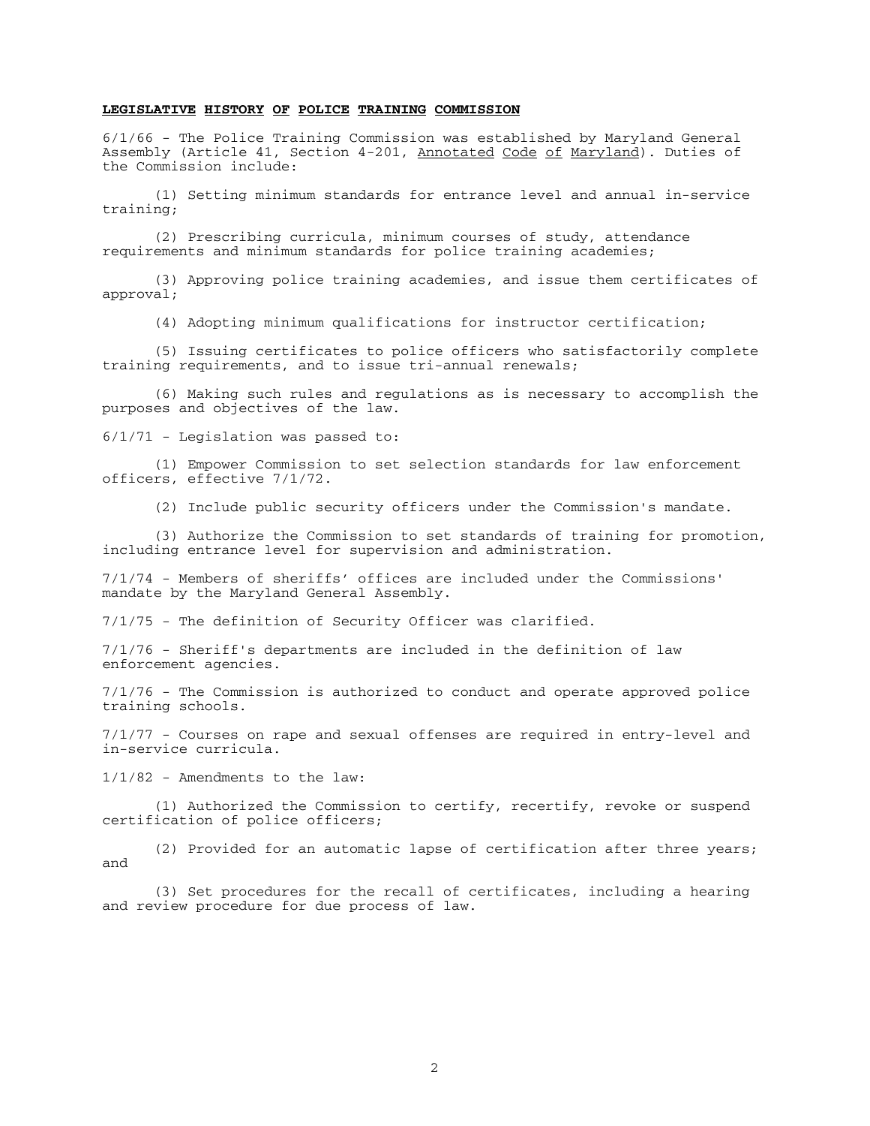#### **LEGISLATIVE HISTORY OF POLICE TRAINING COMMISSION**

6/1/66 - The Police Training Commission was established by Maryland General Assembly (Article 41, Section 4-201, Annotated Code of Maryland). Duties of the Commission include:

 (1) Setting minimum standards for entrance level and annual in-service training;

 (2) Prescribing curricula, minimum courses of study, attendance requirements and minimum standards for police training academies;

 (3) Approving police training academies, and issue them certificates of approval;

(4) Adopting minimum qualifications for instructor certification;

 (5) Issuing certificates to police officers who satisfactorily complete training requirements, and to issue tri-annual renewals;

 (6) Making such rules and regulations as is necessary to accomplish the purposes and objectives of the law.

6/1/71 - Legislation was passed to:

 (1) Empower Commission to set selection standards for law enforcement officers, effective 7/1/72.

(2) Include public security officers under the Commission's mandate.

 (3) Authorize the Commission to set standards of training for promotion, including entrance level for supervision and administration.

7/1/74 - Members of sheriffs' offices are included under the Commissions' mandate by the Maryland General Assembly.

7/1/75 - The definition of Security Officer was clarified.

7/1/76 - Sheriff's departments are included in the definition of law enforcement agencies.

7/1/76 - The Commission is authorized to conduct and operate approved police training schools.

7/1/77 - Courses on rape and sexual offenses are required in entry-level and in-service curricula.

1/1/82 - Amendments to the law:

 (1) Authorized the Commission to certify, recertify, revoke or suspend certification of police officers;

 (2) Provided for an automatic lapse of certification after three years; and

 (3) Set procedures for the recall of certificates, including a hearing and review procedure for due process of law.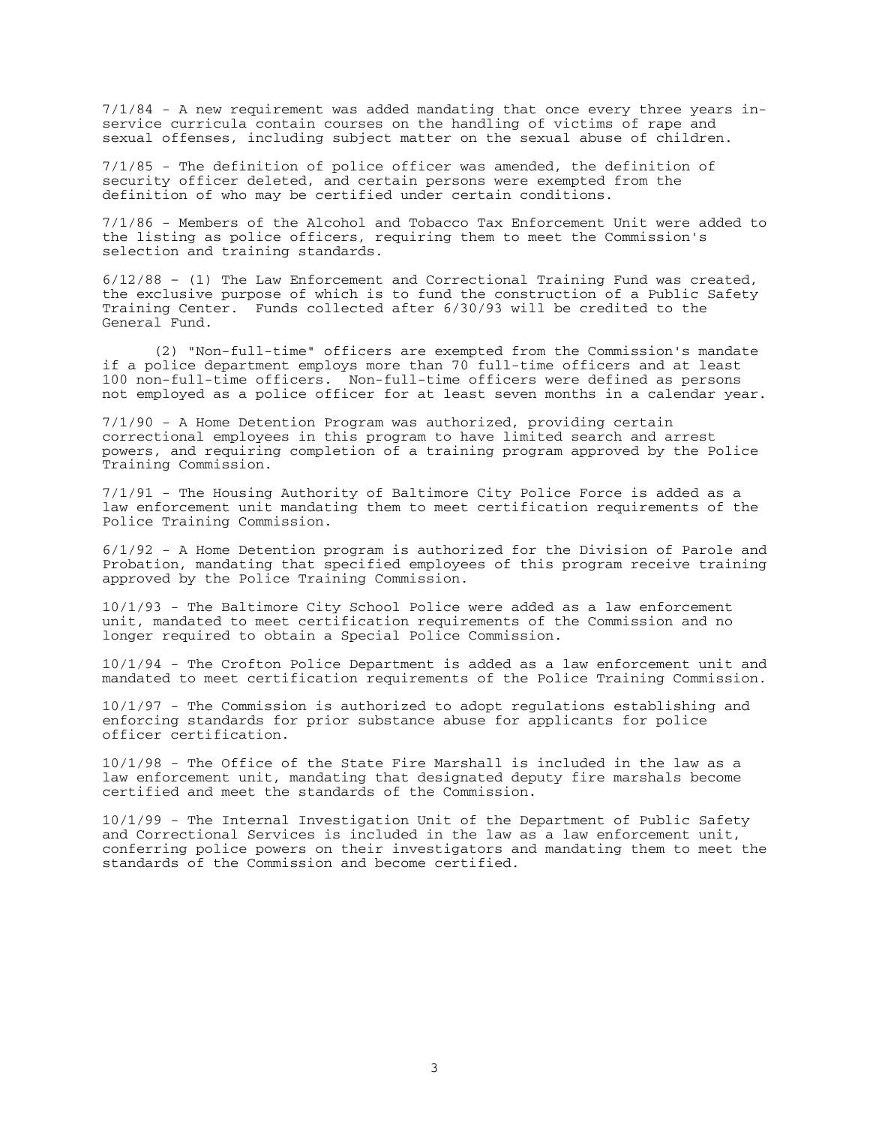7/1/84 - A new requirement was added mandating that once every three years inservice curricula contain courses on the handling of victims of rape and sexual offenses, including subject matter on the sexual abuse of children.

7/1/85 - The definition of police officer was amended, the definition of security officer deleted, and certain persons were exempted from the definition of who may be certified under certain conditions.

7/1/86 - Members of the Alcohol and Tobacco Tax Enforcement Unit were added to the listing as police officers, requiring them to meet the Commission's selection and training standards.

6/12/88 – (1) The Law Enforcement and Correctional Training Fund was created, the exclusive purpose of which is to fund the construction of a Public Safety Training Center. Funds collected after 6/30/93 will be credited to the General Fund.

 (2) "Non-full-time" officers are exempted from the Commission's mandate if a police department employs more than 70 full-time officers and at least 100 non-full-time officers. Non-full-time officers were defined as persons not employed as a police officer for at least seven months in a calendar year.

7/1/90 - A Home Detention Program was authorized, providing certain correctional employees in this program to have limited search and arrest powers, and requiring completion of a training program approved by the Police Training Commission.

7/1/91 - The Housing Authority of Baltimore City Police Force is added as a law enforcement unit mandating them to meet certification requirements of the Police Training Commission.

6/1/92 - A Home Detention program is authorized for the Division of Parole and Probation, mandating that specified employees of this program receive training approved by the Police Training Commission.

10/1/93 - The Baltimore City School Police were added as a law enforcement unit, mandated to meet certification requirements of the Commission and no longer required to obtain a Special Police Commission.

10/1/94 - The Crofton Police Department is added as a law enforcement unit and mandated to meet certification requirements of the Police Training Commission.

10/1/97 - The Commission is authorized to adopt regulations establishing and enforcing standards for prior substance abuse for applicants for police officer certification.

10/1/98 - The Office of the State Fire Marshall is included in the law as a law enforcement unit, mandating that designated deputy fire marshals become certified and meet the standards of the Commission.

10/1/99 - The Internal Investigation Unit of the Department of Public Safety and Correctional Services is included in the law as a law enforcement unit, conferring police powers on their investigators and mandating them to meet the standards of the Commission and become certified.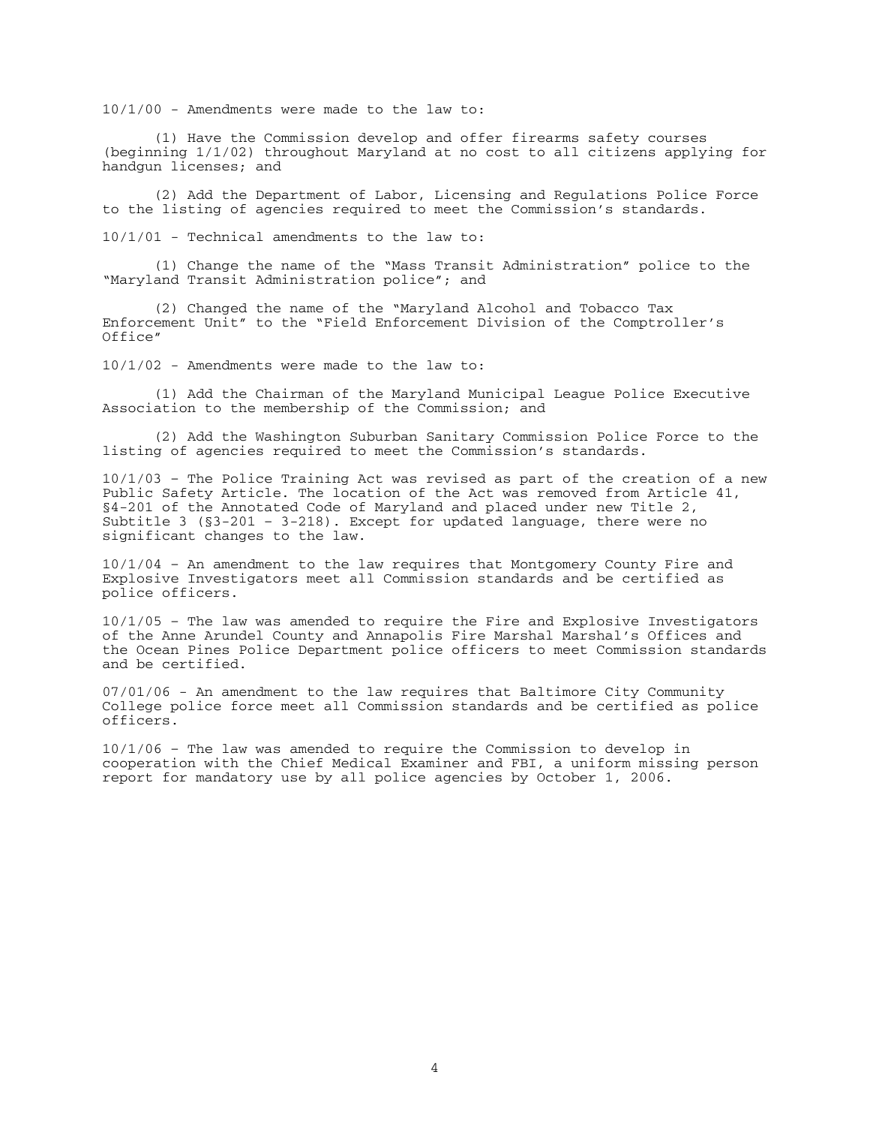10/1/00 - Amendments were made to the law to:

 (1) Have the Commission develop and offer firearms safety courses (beginning 1/1/02) throughout Maryland at no cost to all citizens applying for handgun licenses; and

 (2) Add the Department of Labor, Licensing and Regulations Police Force to the listing of agencies required to meet the Commission's standards.

10/1/01 - Technical amendments to the law to:

 (1) Change the name of the "Mass Transit Administration" police to the "Maryland Transit Administration police"; and

 (2) Changed the name of the "Maryland Alcohol and Tobacco Tax Enforcement Unit" to the "Field Enforcement Division of the Comptroller's Office"

10/1/02 - Amendments were made to the law to:

 (1) Add the Chairman of the Maryland Municipal League Police Executive Association to the membership of the Commission; and

 (2) Add the Washington Suburban Sanitary Commission Police Force to the listing of agencies required to meet the Commission's standards.

10/1/03 – The Police Training Act was revised as part of the creation of a new Public Safety Article. The location of the Act was removed from Article 41, §4-201 of the Annotated Code of Maryland and placed under new Title 2, Subtitle 3 ( $\S$ 3-201 - 3-218). Except for updated language, there were no significant changes to the law.

10/1/04 – An amendment to the law requires that Montgomery County Fire and Explosive Investigators meet all Commission standards and be certified as police officers.

10/1/05 – The law was amended to require the Fire and Explosive Investigators of the Anne Arundel County and Annapolis Fire Marshal Marshal's Offices and the Ocean Pines Police Department police officers to meet Commission standards and be certified.

07/01/06 - An amendment to the law requires that Baltimore City Community College police force meet all Commission standards and be certified as police officers.

10/1/06 – The law was amended to require the Commission to develop in cooperation with the Chief Medical Examiner and FBI, a uniform missing person report for mandatory use by all police agencies by October 1, 2006.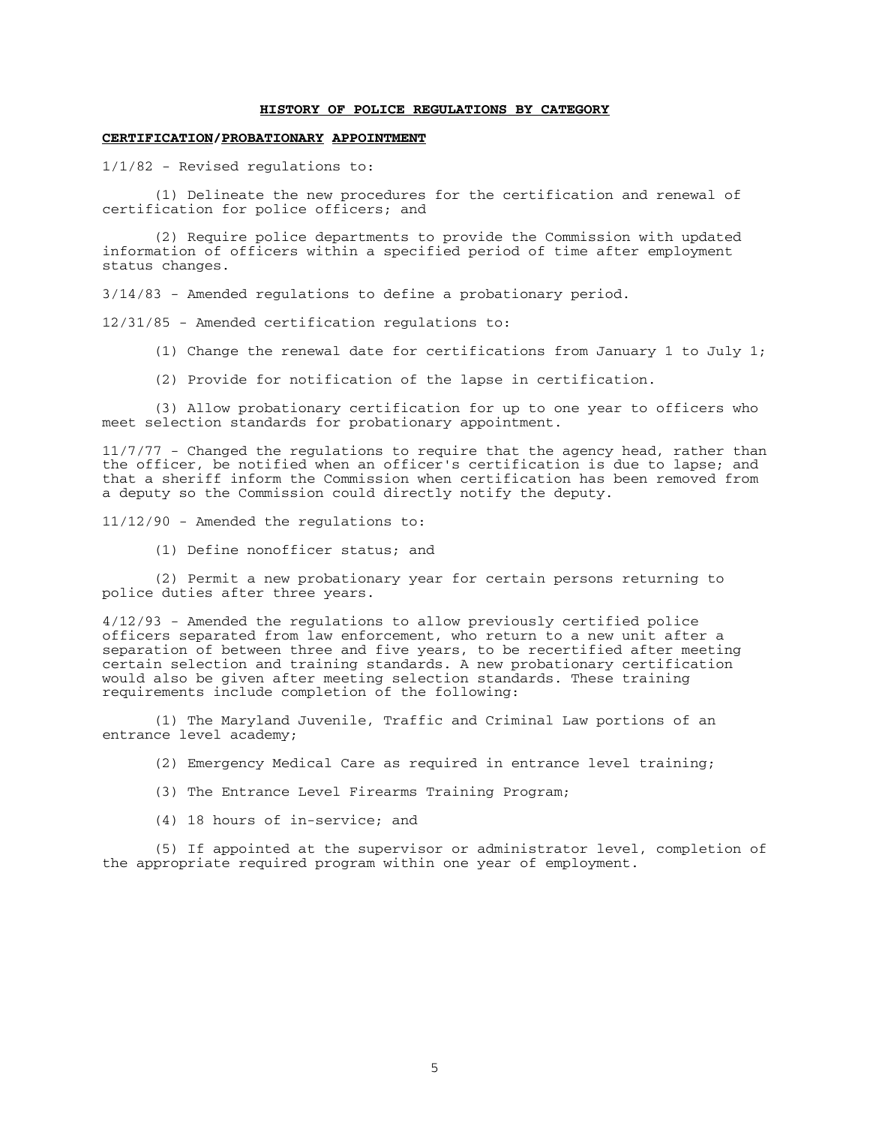#### **HISTORY OF POLICE REGULATIONS BY CATEGORY**

#### **CERTIFICATION/PROBATIONARY APPOINTMENT**

1/1/82 - Revised regulations to:

 (1) Delineate the new procedures for the certification and renewal of certification for police officers; and

 (2) Require police departments to provide the Commission with updated information of officers within a specified period of time after employment status changes.

3/14/83 - Amended regulations to define a probationary period.

12/31/85 - Amended certification regulations to:

- (1) Change the renewal date for certifications from January 1 to July 1;
- (2) Provide for notification of the lapse in certification.

 (3) Allow probationary certification for up to one year to officers who meet selection standards for probationary appointment.

11/7/77 - Changed the regulations to require that the agency head, rather than the officer, be notified when an officer's certification is due to lapse; and that a sheriff inform the Commission when certification has been removed from a deputy so the Commission could directly notify the deputy.

11/12/90 - Amended the regulations to:

(1) Define nonofficer status; and

 (2) Permit a new probationary year for certain persons returning to police duties after three years.

4/12/93 - Amended the regulations to allow previously certified police officers separated from law enforcement, who return to a new unit after a separation of between three and five years, to be recertified after meeting certain selection and training standards. A new probationary certification would also be given after meeting selection standards. These training requirements include completion of the following:

 (1) The Maryland Juvenile, Traffic and Criminal Law portions of an entrance level academy;

(2) Emergency Medical Care as required in entrance level training;

- (3) The Entrance Level Firearms Training Program;
- (4) 18 hours of in-service; and

 (5) If appointed at the supervisor or administrator level, completion of the appropriate required program within one year of employment.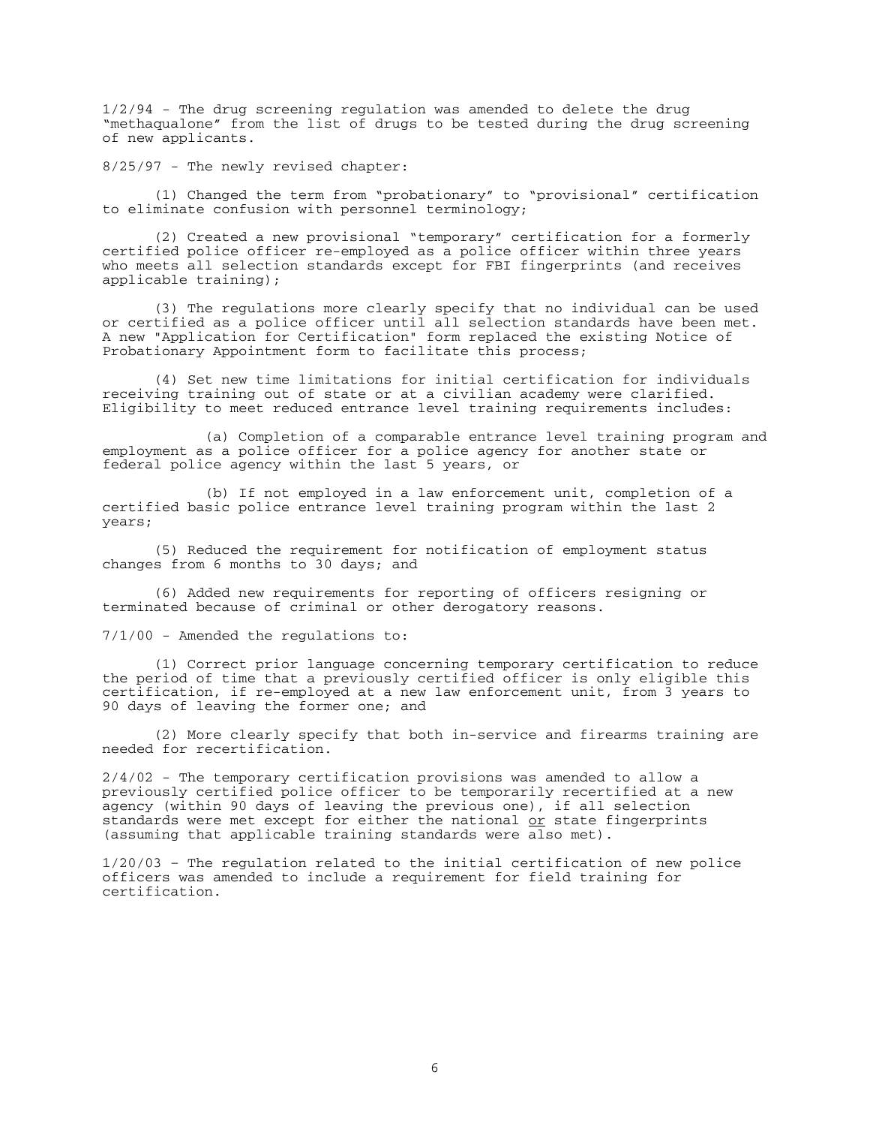1/2/94 - The drug screening regulation was amended to delete the drug "methaqualone" from the list of drugs to be tested during the drug screening of new applicants.

8/25/97 - The newly revised chapter:

 (1) Changed the term from "probationary" to "provisional" certification to eliminate confusion with personnel terminology;

 (2) Created a new provisional "temporary" certification for a formerly certified police officer re-employed as a police officer within three years who meets all selection standards except for FBI fingerprints (and receives applicable training);

 (3) The regulations more clearly specify that no individual can be used or certified as a police officer until all selection standards have been met. A new "Application for Certification" form replaced the existing Notice of Probationary Appointment form to facilitate this process;

 (4) Set new time limitations for initial certification for individuals receiving training out of state or at a civilian academy were clarified. Eligibility to meet reduced entrance level training requirements includes:

 (a) Completion of a comparable entrance level training program and employment as a police officer for a police agency for another state or federal police agency within the last 5 years, or

 (b) If not employed in a law enforcement unit, completion of a certified basic police entrance level training program within the last 2 years;

 (5) Reduced the requirement for notification of employment status changes from 6 months to 30 days; and

 (6) Added new requirements for reporting of officers resigning or terminated because of criminal or other derogatory reasons.

7/1/00 - Amended the regulations to:

 (1) Correct prior language concerning temporary certification to reduce the period of time that a previously certified officer is only eligible this certification, if re-employed at a new law enforcement unit, from 3 years to 90 days of leaving the former one; and

 (2) More clearly specify that both in-service and firearms training are needed for recertification.

2/4/02 - The temporary certification provisions was amended to allow a previously certified police officer to be temporarily recertified at a new agency (within 90 days of leaving the previous one), if all selection standards were met except for either the national or state fingerprints (assuming that applicable training standards were also met).

1/20/03 – The regulation related to the initial certification of new police officers was amended to include a requirement for field training for certification.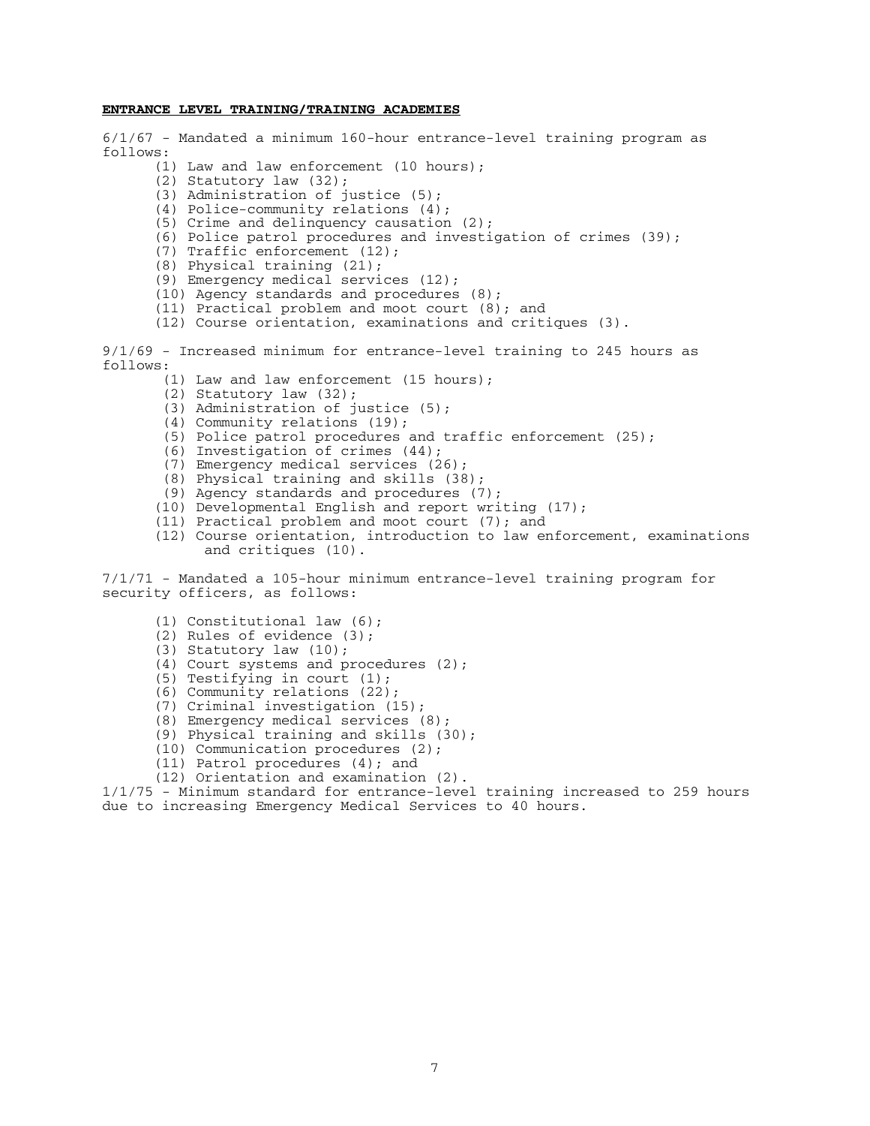#### **ENTRANCE LEVEL TRAINING/TRAINING ACADEMIES**

6/1/67 - Mandated a minimum 160-hour entrance-level training program as follows:

- (1) Law and law enforcement (10 hours);
- (2) Statutory law (32);
- (3) Administration of justice (5);
- (4) Police-community relations (4);
- (5) Crime and delinquency causation (2);
- (6) Police patrol procedures and investigation of crimes  $(39)$ ;
- (7) Traffic enforcement (12);
- (8) Physical training (21);
- (9) Emergency medical services (12);
- (10) Agency standards and procedures (8);
- (11) Practical problem and moot court (8); and
- (12) Course orientation, examinations and critiques (3).

9/1/69 - Increased minimum for entrance-level training to 245 hours as follows:

- (1) Law and law enforcement (15 hours);
- (2) Statutory law (32);
- (3) Administration of justice (5);
- (4) Community relations (19);
- (5) Police patrol procedures and traffic enforcement (25);
- (6) Investigation of crimes (44);
- (7) Emergency medical services (26);
- (8) Physical training and skills (38);
- (9) Agency standards and procedures (7);
- (10) Developmental English and report writing (17);
- (11) Practical problem and moot court (7); and
- (12) Course orientation, introduction to law enforcement, examinations and critiques (10).

7/1/71 - Mandated a 105-hour minimum entrance-level training program for security officers, as follows:

- (1) Constitutional law (6);
- (2) Rules of evidence (3);
- (3) Statutory law (10);
- (4) Court systems and procedures (2);
- (5) Testifying in court (1);
- (6) Community relations (22);
- (7) Criminal investigation (15);
- (8) Emergency medical services (8);
- (9) Physical training and skills (30);
	- (10) Communication procedures (2);
	- (11) Patrol procedures (4); and
	- (12) Orientation and examination (2).

1/1/75 - Minimum standard for entrance-level training increased to 259 hours due to increasing Emergency Medical Services to 40 hours.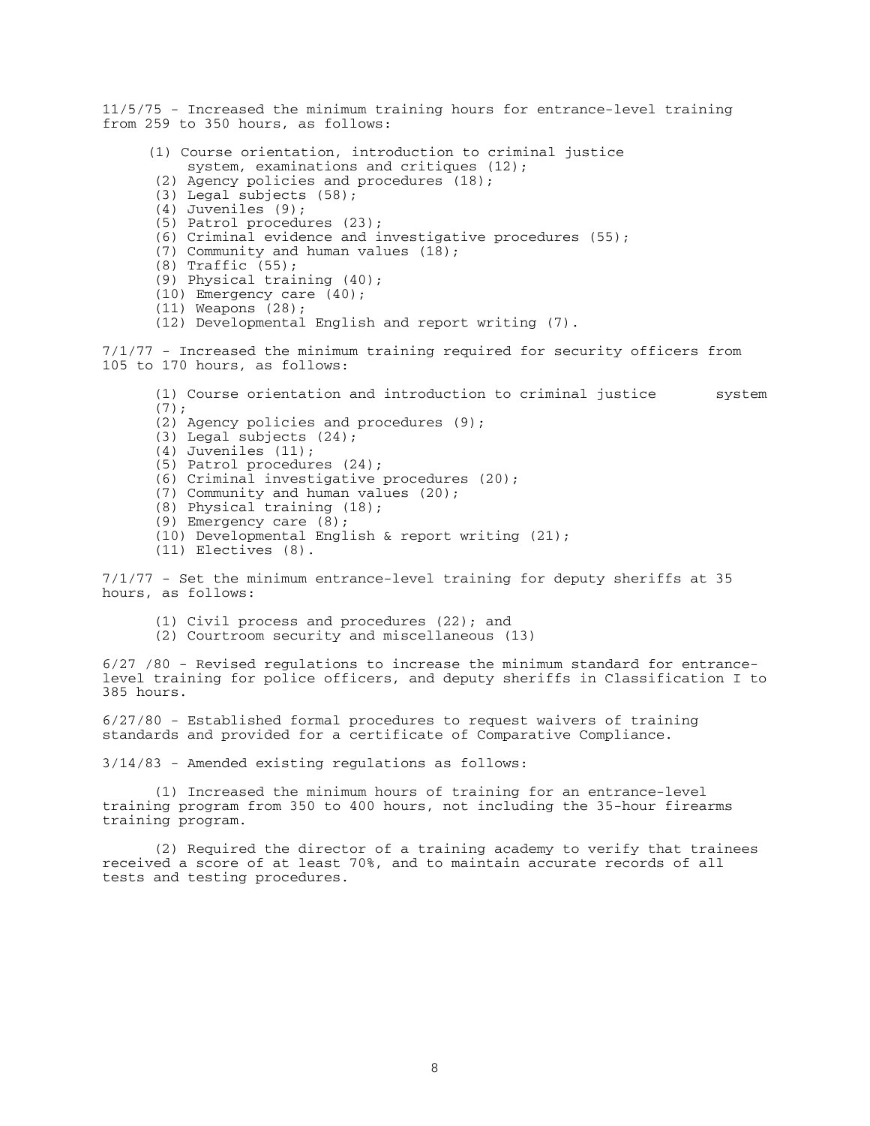11/5/75 - Increased the minimum training hours for entrance-level training from 259 to 350 hours, as follows: (1) Course orientation, introduction to criminal justice system, examinations and critiques (12); (2) Agency policies and procedures (18); (3) Legal subjects (58); (4) Juveniles (9); (5) Patrol procedures (23); (6) Criminal evidence and investigative procedures (55); (7) Community and human values (18); (8) Traffic (55); (9) Physical training (40); (10) Emergency care (40); (11) Weapons (28); (12) Developmental English and report writing (7). 7/1/77 - Increased the minimum training required for security officers from 105 to 170 hours, as follows: (1) Course orientation and introduction to criminal justice system  $(7);$  (2) Agency policies and procedures (9); (3) Legal subjects (24); (4) Juveniles (11); (5) Patrol procedures (24); (6) Criminal investigative procedures (20); (7) Community and human values (20); (8) Physical training (18); (9) Emergency care (8); (10) Developmental English & report writing (21); (11) Electives (8). 7/1/77 - Set the minimum entrance-level training for deputy sheriffs at 35 hours, as follows: (1) Civil process and procedures (22); and (2) Courtroom security and miscellaneous (13) 6/27 /80 - Revised regulations to increase the minimum standard for entrancelevel training for police officers, and deputy sheriffs in Classification I to 385 hours. 6/27/80 - Established formal procedures to request waivers of training standards and provided for a certificate of Comparative Compliance. 3/14/83 - Amended existing regulations as follows: (1) Increased the minimum hours of training for an entrance-level training program from 350 to 400 hours, not including the 35-hour firearms training program. (2) Required the director of a training academy to verify that trainees received a score of at least 70%, and to maintain accurate records of all tests and testing procedures.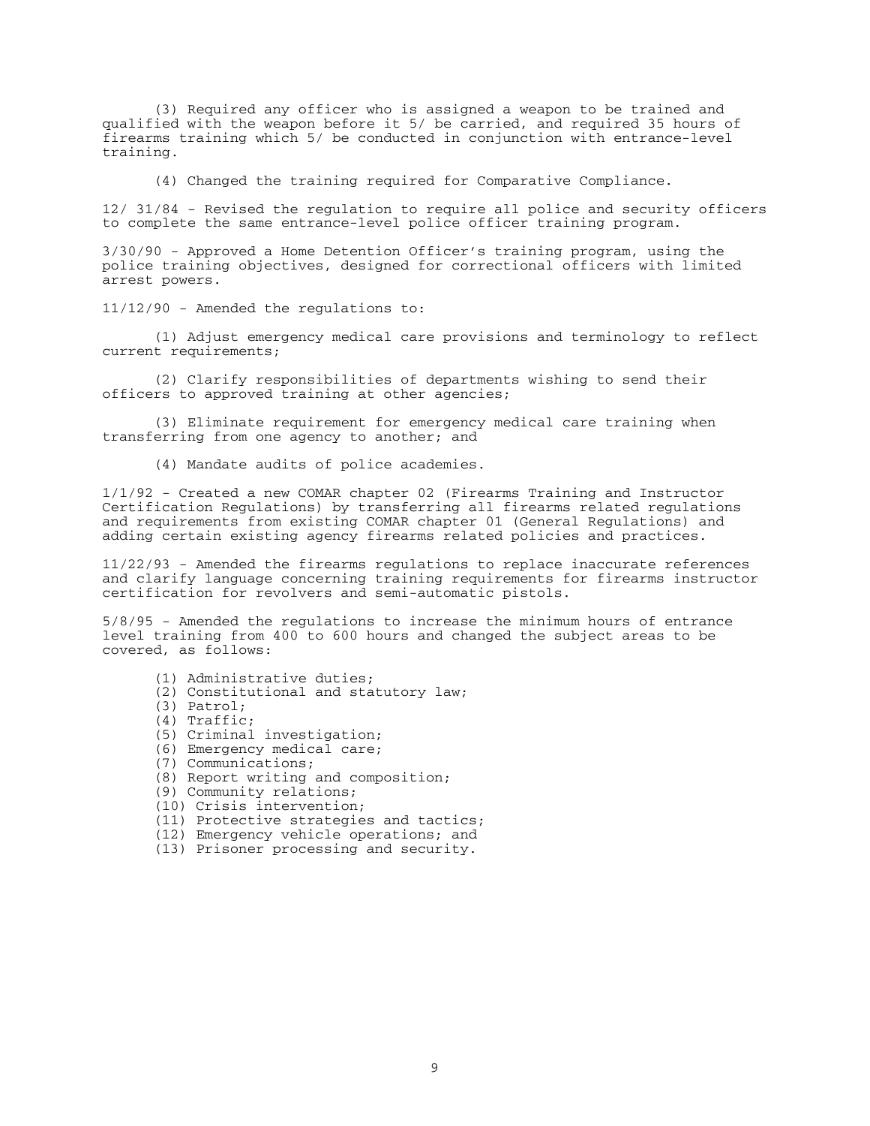(3) Required any officer who is assigned a weapon to be trained and qualified with the weapon before it 5/ be carried, and required 35 hours of firearms training which 5/ be conducted in conjunction with entrance-level training.

(4) Changed the training required for Comparative Compliance.

12/ 31/84 - Revised the regulation to require all police and security officers to complete the same entrance-level police officer training program.

3/30/90 - Approved a Home Detention Officer's training program, using the police training objectives, designed for correctional officers with limited arrest powers.

11/12/90 - Amended the regulations to:

 (1) Adjust emergency medical care provisions and terminology to reflect current requirements;

 (2) Clarify responsibilities of departments wishing to send their officers to approved training at other agencies;

 (3) Eliminate requirement for emergency medical care training when transferring from one agency to another; and

(4) Mandate audits of police academies.

1/1/92 - Created a new COMAR chapter 02 (Firearms Training and Instructor Certification Regulations) by transferring all firearms related regulations and requirements from existing COMAR chapter 01 (General Regulations) and adding certain existing agency firearms related policies and practices.

11/22/93 - Amended the firearms regulations to replace inaccurate references and clarify language concerning training requirements for firearms instructor certification for revolvers and semi-automatic pistols.

5/8/95 - Amended the regulations to increase the minimum hours of entrance level training from 400 to 600 hours and changed the subject areas to be covered, as follows:

- (1) Administrative duties;
- (2) Constitutional and statutory law;
- (3) Patrol;
- (4) Traffic;
	- (5) Criminal investigation;
	- (6) Emergency medical care;
	- (7) Communications;
	- (8) Report writing and composition;
	- (9) Community relations;
	- (10) Crisis intervention;
	- (11) Protective strategies and tactics;
	- (12) Emergency vehicle operations; and
	- (13) Prisoner processing and security.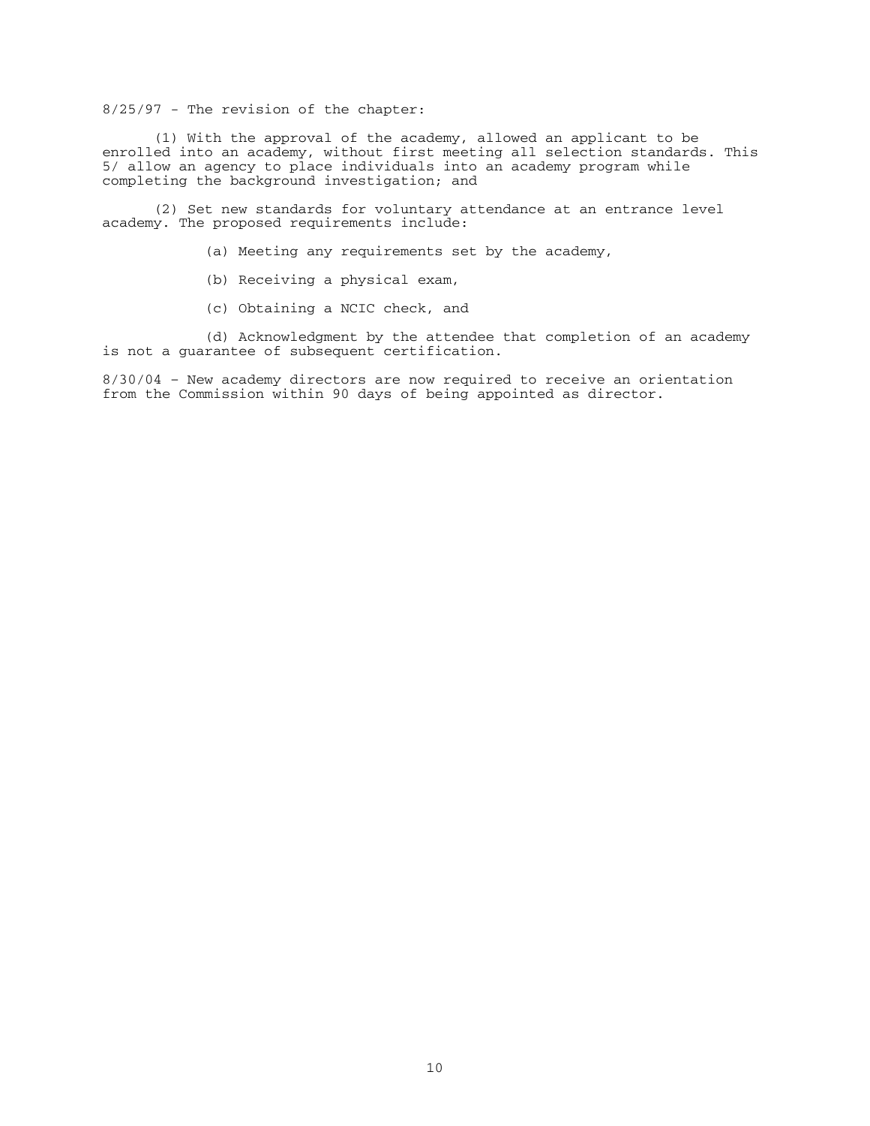8/25/97 - The revision of the chapter:

 (1) With the approval of the academy, allowed an applicant to be enrolled into an academy, without first meeting all selection standards. This 5/ allow an agency to place individuals into an academy program while completing the background investigation; and

 (2) Set new standards for voluntary attendance at an entrance level academy. The proposed requirements include:

- (a) Meeting any requirements set by the academy,
- (b) Receiving a physical exam,
- (c) Obtaining a NCIC check, and

 (d) Acknowledgment by the attendee that completion of an academy is not a guarantee of subsequent certification.

8/30/04 – New academy directors are now required to receive an orientation from the Commission within 90 days of being appointed as director.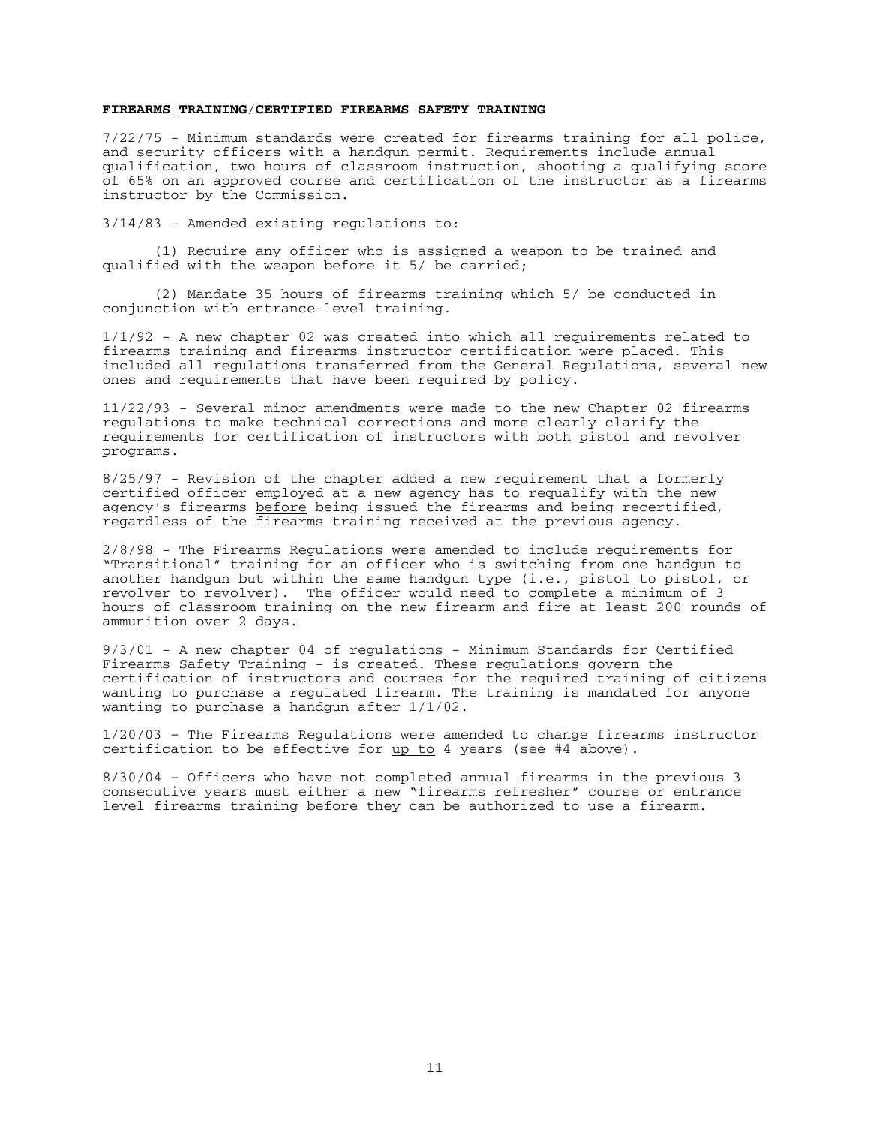#### **FIREARMS TRAINING**/**CERTIFIED FIREARMS SAFETY TRAINING**

7/22/75 - Minimum standards were created for firearms training for all police, and security officers with a handgun permit. Requirements include annual qualification, two hours of classroom instruction, shooting a qualifying score of 65% on an approved course and certification of the instructor as a firearms instructor by the Commission.

3/14/83 - Amended existing regulations to:

 (1) Require any officer who is assigned a weapon to be trained and qualified with the weapon before it 5/ be carried;

 (2) Mandate 35 hours of firearms training which 5/ be conducted in conjunction with entrance-level training.

1/1/92 - A new chapter 02 was created into which all requirements related to firearms training and firearms instructor certification were placed. This included all regulations transferred from the General Regulations, several new ones and requirements that have been required by policy.

11/22/93 - Several minor amendments were made to the new Chapter 02 firearms regulations to make technical corrections and more clearly clarify the requirements for certification of instructors with both pistol and revolver programs.

8/25/97 - Revision of the chapter added a new requirement that a formerly certified officer employed at a new agency has to requalify with the new agency's firearms before being issued the firearms and being recertified, regardless of the firearms training received at the previous agency.

2/8/98 - The Firearms Regulations were amended to include requirements for "Transitional" training for an officer who is switching from one handgun to another handgun but within the same handgun type (i.e., pistol to pistol, or revolver to revolver). The officer would need to complete a minimum of 3 hours of classroom training on the new firearm and fire at least 200 rounds of ammunition over 2 days.

9/3/01 - A new chapter 04 of regulations - Minimum Standards for Certified Firearms Safety Training - is created. These regulations govern the certification of instructors and courses for the required training of citizens wanting to purchase a regulated firearm. The training is mandated for anyone wanting to purchase a handgun after 1/1/02.

1/20/03 – The Firearms Regulations were amended to change firearms instructor certification to be effective for  $\frac{up}{up}$  to 4 years (see #4 above).

8/30/04 – Officers who have not completed annual firearms in the previous 3 consecutive years must either a new "firearms refresher" course or entrance level firearms training before they can be authorized to use a firearm.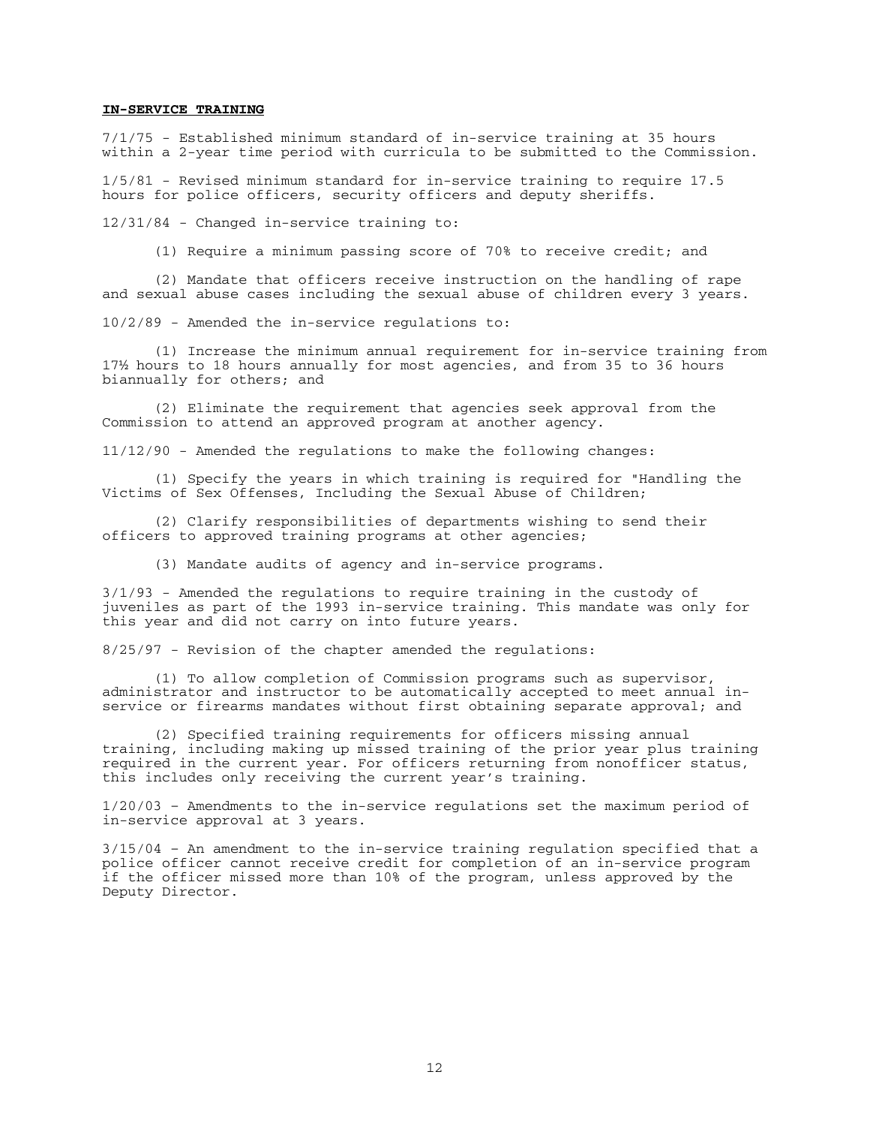#### **IN-SERVICE TRAINING**

7/1/75 - Established minimum standard of in-service training at 35 hours within a 2-year time period with curricula to be submitted to the Commission.

1/5/81 - Revised minimum standard for in-service training to require 17.5 hours for police officers, security officers and deputy sheriffs.

12/31/84 - Changed in-service training to:

(1) Require a minimum passing score of 70% to receive credit; and

 (2) Mandate that officers receive instruction on the handling of rape and sexual abuse cases including the sexual abuse of children every 3 years.

10/2/89 - Amended the in-service regulations to:

 (1) Increase the minimum annual requirement for in-service training from 17½ hours to 18 hours annually for most agencies, and from 35 to 36 hours biannually for others; and

 (2) Eliminate the requirement that agencies seek approval from the Commission to attend an approved program at another agency.

11/12/90 - Amended the regulations to make the following changes:

 (1) Specify the years in which training is required for "Handling the Victims of Sex Offenses, Including the Sexual Abuse of Children;

 (2) Clarify responsibilities of departments wishing to send their officers to approved training programs at other agencies;

(3) Mandate audits of agency and in-service programs.

3/1/93 - Amended the regulations to require training in the custody of juveniles as part of the 1993 in-service training. This mandate was only for this year and did not carry on into future years.

8/25/97 - Revision of the chapter amended the regulations:

 (1) To allow completion of Commission programs such as supervisor, administrator and instructor to be automatically accepted to meet annual inservice or firearms mandates without first obtaining separate approval; and

 (2) Specified training requirements for officers missing annual training, including making up missed training of the prior year plus training required in the current year. For officers returning from nonofficer status, this includes only receiving the current year's training.

1/20/03 – Amendments to the in-service regulations set the maximum period of in-service approval at 3 years.

3/15/04 – An amendment to the in-service training regulation specified that a police officer cannot receive credit for completion of an in-service program if the officer missed more than 10% of the program, unless approved by the Deputy Director.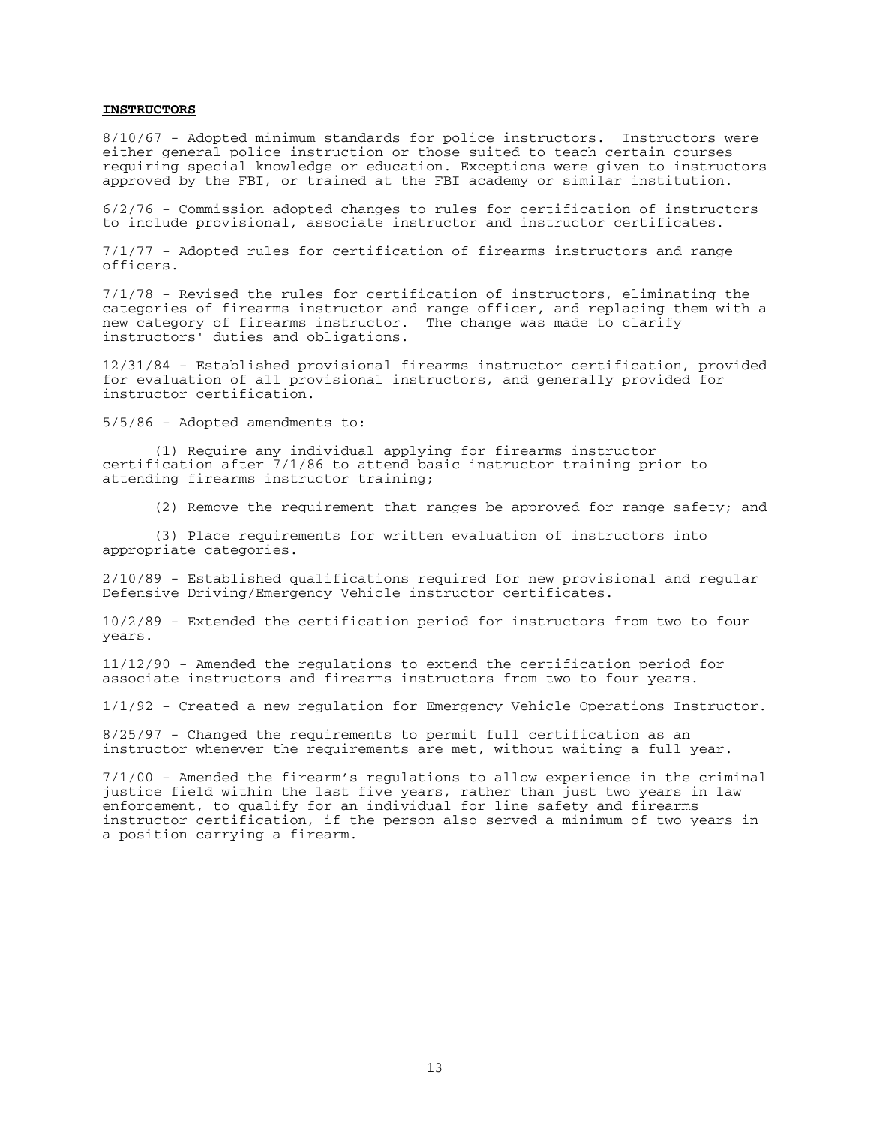## **INSTRUCTORS**

8/10/67 - Adopted minimum standards for police instructors. Instructors were either general police instruction or those suited to teach certain courses requiring special knowledge or education. Exceptions were given to instructors approved by the FBI, or trained at the FBI academy or similar institution.

6/2/76 - Commission adopted changes to rules for certification of instructors to include provisional, associate instructor and instructor certificates.

7/1/77 - Adopted rules for certification of firearms instructors and range officers.

7/1/78 - Revised the rules for certification of instructors, eliminating the categories of firearms instructor and range officer, and replacing them with a new category of firearms instructor. The change was made to clarify instructors' duties and obligations.

12/31/84 - Established provisional firearms instructor certification, provided for evaluation of all provisional instructors, and generally provided for instructor certification.

5/5/86 - Adopted amendments to:

 (1) Require any individual applying for firearms instructor certification after 7/1/86 to attend basic instructor training prior to attending firearms instructor training;

(2) Remove the requirement that ranges be approved for range safety; and

 (3) Place requirements for written evaluation of instructors into appropriate categories.

2/10/89 - Established qualifications required for new provisional and regular Defensive Driving/Emergency Vehicle instructor certificates.

10/2/89 - Extended the certification period for instructors from two to four years.

11/12/90 - Amended the regulations to extend the certification period for associate instructors and firearms instructors from two to four years.

1/1/92 - Created a new regulation for Emergency Vehicle Operations Instructor.

8/25/97 - Changed the requirements to permit full certification as an instructor whenever the requirements are met, without waiting a full year.

7/1/00 - Amended the firearm's regulations to allow experience in the criminal justice field within the last five years, rather than just two years in law enforcement, to qualify for an individual for line safety and firearms instructor certification, if the person also served a minimum of two years in a position carrying a firearm.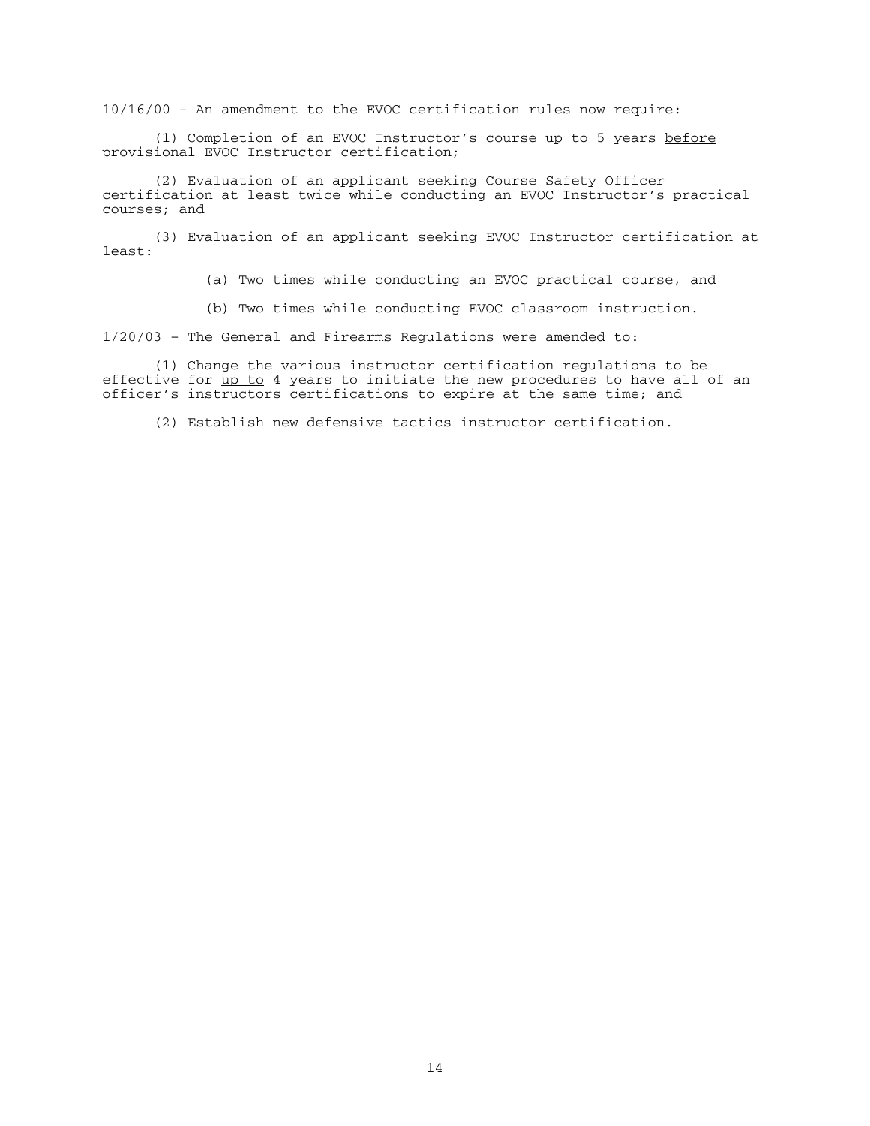10/16/00 - An amendment to the EVOC certification rules now require:

 (1) Completion of an EVOC Instructor's course up to 5 years before provisional EVOC Instructor certification;

 (2) Evaluation of an applicant seeking Course Safety Officer certification at least twice while conducting an EVOC Instructor's practical courses; and

 (3) Evaluation of an applicant seeking EVOC Instructor certification at least:

(a) Two times while conducting an EVOC practical course, and

(b) Two times while conducting EVOC classroom instruction.

1/20/03 – The General and Firearms Regulations were amended to:

(1) Change the various instructor certification regulations to be effective for up to 4 years to initiate the new procedures to have all of an officer's instructors certifications to expire at the same time; and

(2) Establish new defensive tactics instructor certification.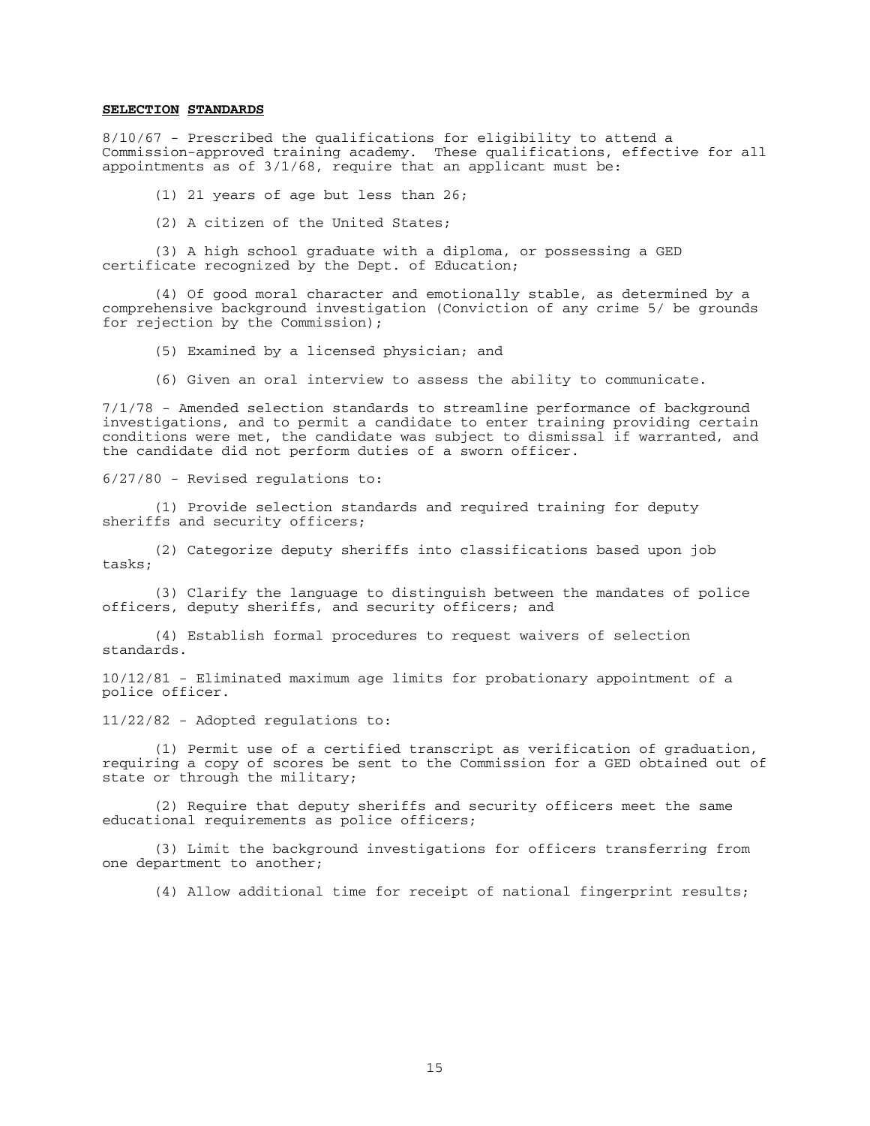## **SELECTION STANDARDS**

8/10/67 - Prescribed the qualifications for eligibility to attend a Commission-approved training academy. These qualifications, effective for all appointments as of 3/1/68, require that an applicant must be:

(1) 21 years of age but less than 26;

(2) A citizen of the United States;

 (3) A high school graduate with a diploma, or possessing a GED certificate recognized by the Dept. of Education;

 (4) Of good moral character and emotionally stable, as determined by a comprehensive background investigation (Conviction of any crime 5/ be grounds for rejection by the Commission);

(5) Examined by a licensed physician; and

(6) Given an oral interview to assess the ability to communicate.

7/1/78 - Amended selection standards to streamline performance of background investigations, and to permit a candidate to enter training providing certain conditions were met, the candidate was subject to dismissal if warranted, and the candidate did not perform duties of a sworn officer.

6/27/80 - Revised regulations to:

 (1) Provide selection standards and required training for deputy sheriffs and security officers;

 (2) Categorize deputy sheriffs into classifications based upon job tasks;

 (3) Clarify the language to distinguish between the mandates of police officers, deputy sheriffs, and security officers; and

 (4) Establish formal procedures to request waivers of selection standards.

10/12/81 - Eliminated maximum age limits for probationary appointment of a police officer.

11/22/82 - Adopted regulations to:

 (1) Permit use of a certified transcript as verification of graduation, requiring a copy of scores be sent to the Commission for a GED obtained out of state or through the military;

 (2) Require that deputy sheriffs and security officers meet the same educational requirements as police officers;

 (3) Limit the background investigations for officers transferring from one department to another;

(4) Allow additional time for receipt of national fingerprint results;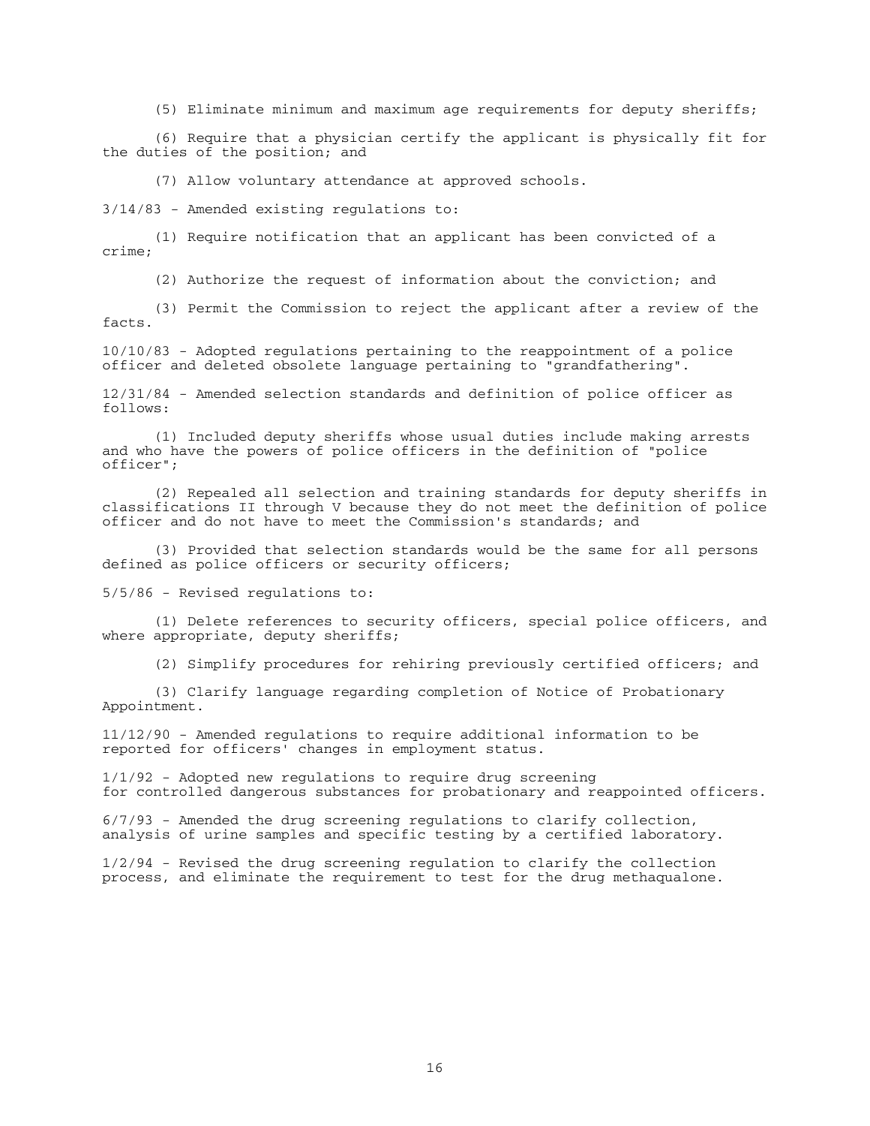(5) Eliminate minimum and maximum age requirements for deputy sheriffs;

 (6) Require that a physician certify the applicant is physically fit for the duties of the position; and

(7) Allow voluntary attendance at approved schools.

3/14/83 - Amended existing regulations to:

 (1) Require notification that an applicant has been convicted of a crime;

(2) Authorize the request of information about the conviction; and

 (3) Permit the Commission to reject the applicant after a review of the facts.

10/10/83 - Adopted regulations pertaining to the reappointment of a police officer and deleted obsolete language pertaining to "grandfathering".

12/31/84 - Amended selection standards and definition of police officer as follows:

 (1) Included deputy sheriffs whose usual duties include making arrests and who have the powers of police officers in the definition of "police officer";

 (2) Repealed all selection and training standards for deputy sheriffs in classifications II through V because they do not meet the definition of police officer and do not have to meet the Commission's standards; and

 (3) Provided that selection standards would be the same for all persons defined as police officers or security officers;

5/5/86 - Revised regulations to:

 (1) Delete references to security officers, special police officers, and where appropriate, deputy sheriffs;

(2) Simplify procedures for rehiring previously certified officers; and

 (3) Clarify language regarding completion of Notice of Probationary Appointment.

11/12/90 - Amended regulations to require additional information to be reported for officers' changes in employment status.

1/1/92 - Adopted new regulations to require drug screening for controlled dangerous substances for probationary and reappointed officers.

6/7/93 - Amended the drug screening regulations to clarify collection, analysis of urine samples and specific testing by a certified laboratory.

1/2/94 - Revised the drug screening regulation to clarify the collection process, and eliminate the requirement to test for the drug methaqualone.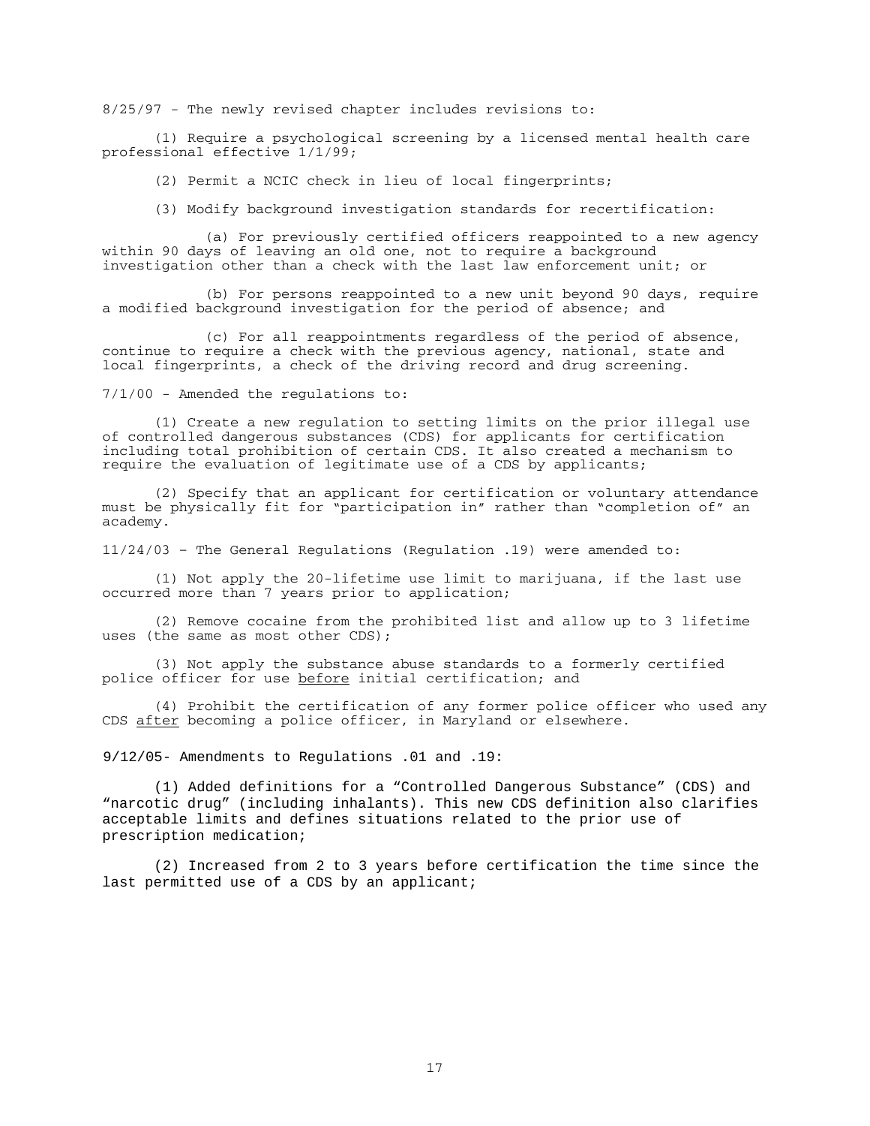8/25/97 - The newly revised chapter includes revisions to:

 (1) Require a psychological screening by a licensed mental health care professional effective 1/1/99;

(2) Permit a NCIC check in lieu of local fingerprints;

(3) Modify background investigation standards for recertification:

 (a) For previously certified officers reappointed to a new agency within 90 days of leaving an old one, not to require a background investigation other than a check with the last law enforcement unit; or

 (b) For persons reappointed to a new unit beyond 90 days, require a modified background investigation for the period of absence; and

 (c) For all reappointments regardless of the period of absence, continue to require a check with the previous agency, national, state and local fingerprints, a check of the driving record and drug screening.

7/1/00 - Amended the regulations to:

 (1) Create a new regulation to setting limits on the prior illegal use of controlled dangerous substances (CDS) for applicants for certification including total prohibition of certain CDS. It also created a mechanism to require the evaluation of legitimate use of a CDS by applicants;

 (2) Specify that an applicant for certification or voluntary attendance must be physically fit for "participation in" rather than "completion of" an academy.

11/24/03 – The General Regulations (Regulation .19) were amended to:

 (1) Not apply the 20-lifetime use limit to marijuana, if the last use occurred more than 7 years prior to application;

 (2) Remove cocaine from the prohibited list and allow up to 3 lifetime uses (the same as most other CDS);

 (3) Not apply the substance abuse standards to a formerly certified police officer for use before initial certification; and

 (4) Prohibit the certification of any former police officer who used any CDS after becoming a police officer, in Maryland or elsewhere.

9/12/05- Amendments to Regulations .01 and .19:

(1) Added definitions for a "Controlled Dangerous Substance" (CDS) and "narcotic drug" (including inhalants). This new CDS definition also clarifies acceptable limits and defines situations related to the prior use of prescription medication;

(2) Increased from 2 to 3 years before certification the time since the last permitted use of a CDS by an applicant;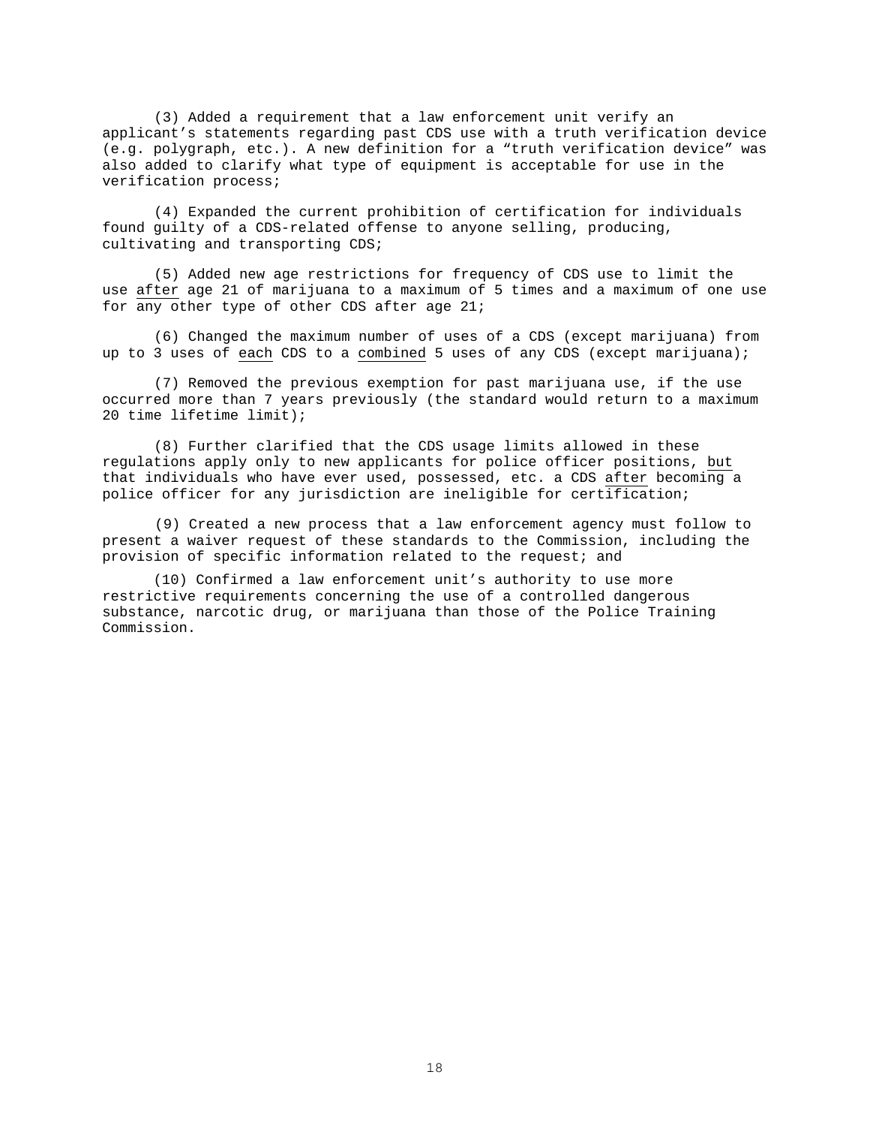(3) Added a requirement that a law enforcement unit verify an applicant's statements regarding past CDS use with a truth verification device (e.g. polygraph, etc.). A new definition for a "truth verification device" was also added to clarify what type of equipment is acceptable for use in the verification process;

(4) Expanded the current prohibition of certification for individuals found guilty of a CDS-related offense to anyone selling, producing, cultivating and transporting CDS;

(5) Added new age restrictions for frequency of CDS use to limit the use after age 21 of marijuana to a maximum of 5 times and a maximum of one use for any other type of other CDS after age 21;

(6) Changed the maximum number of uses of a CDS (except marijuana) from up to 3 uses of each CDS to a combined 5 uses of any CDS (except marijuana);

(7) Removed the previous exemption for past marijuana use, if the use occurred more than 7 years previously (the standard would return to a maximum 20 time lifetime limit);

(8) Further clarified that the CDS usage limits allowed in these regulations apply only to new applicants for police officer positions, but that individuals who have ever used, possessed, etc. a CDS after becoming a police officer for any jurisdiction are ineligible for certification;

(9) Created a new process that a law enforcement agency must follow to present a waiver request of these standards to the Commission, including the provision of specific information related to the request; and

 (10) Confirmed a law enforcement unit's authority to use more restrictive requirements concerning the use of a controlled dangerous substance, narcotic drug, or marijuana than those of the Police Training Commission.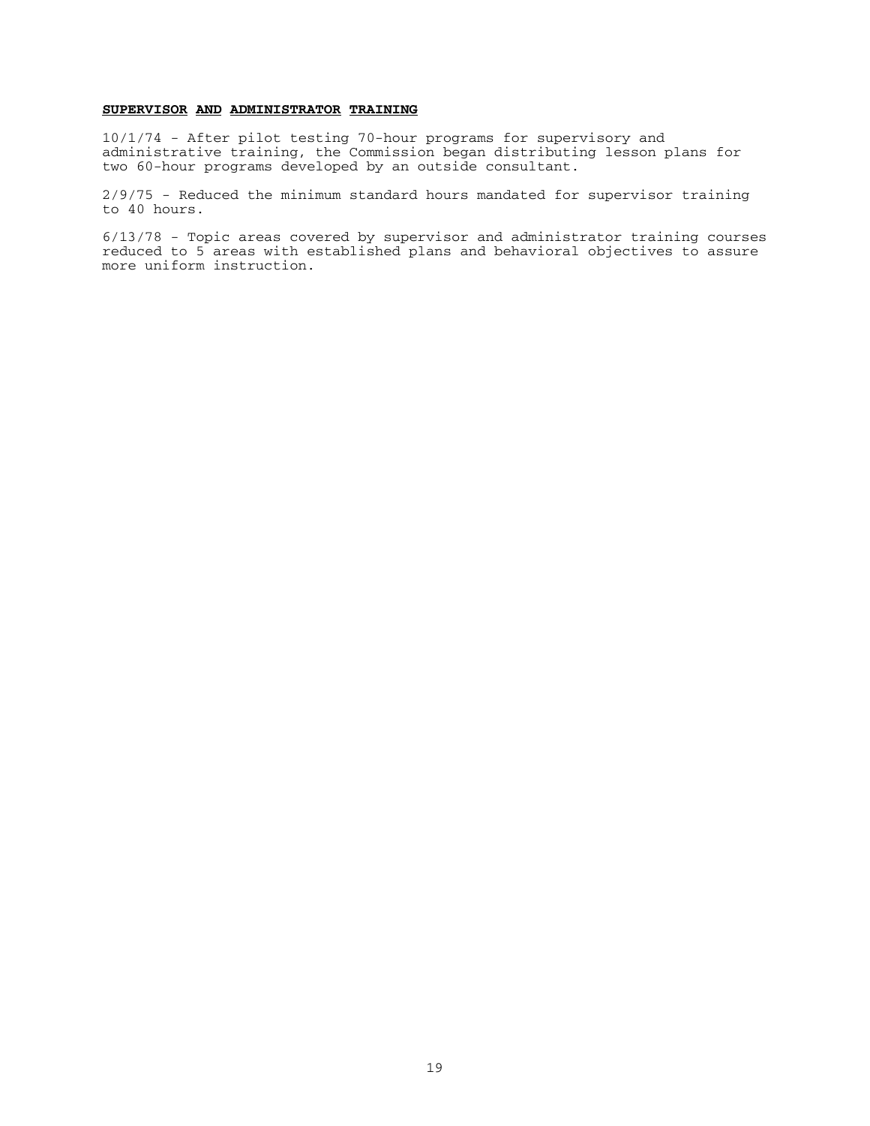# **SUPERVISOR AND ADMINISTRATOR TRAINING**

10/1/74 - After pilot testing 70-hour programs for supervisory and administrative training, the Commission began distributing lesson plans for two 60-hour programs developed by an outside consultant.

2/9/75 - Reduced the minimum standard hours mandated for supervisor training to 40 hours.

6/13/78 - Topic areas covered by supervisor and administrator training courses reduced to 5 areas with established plans and behavioral objectives to assure more uniform instruction.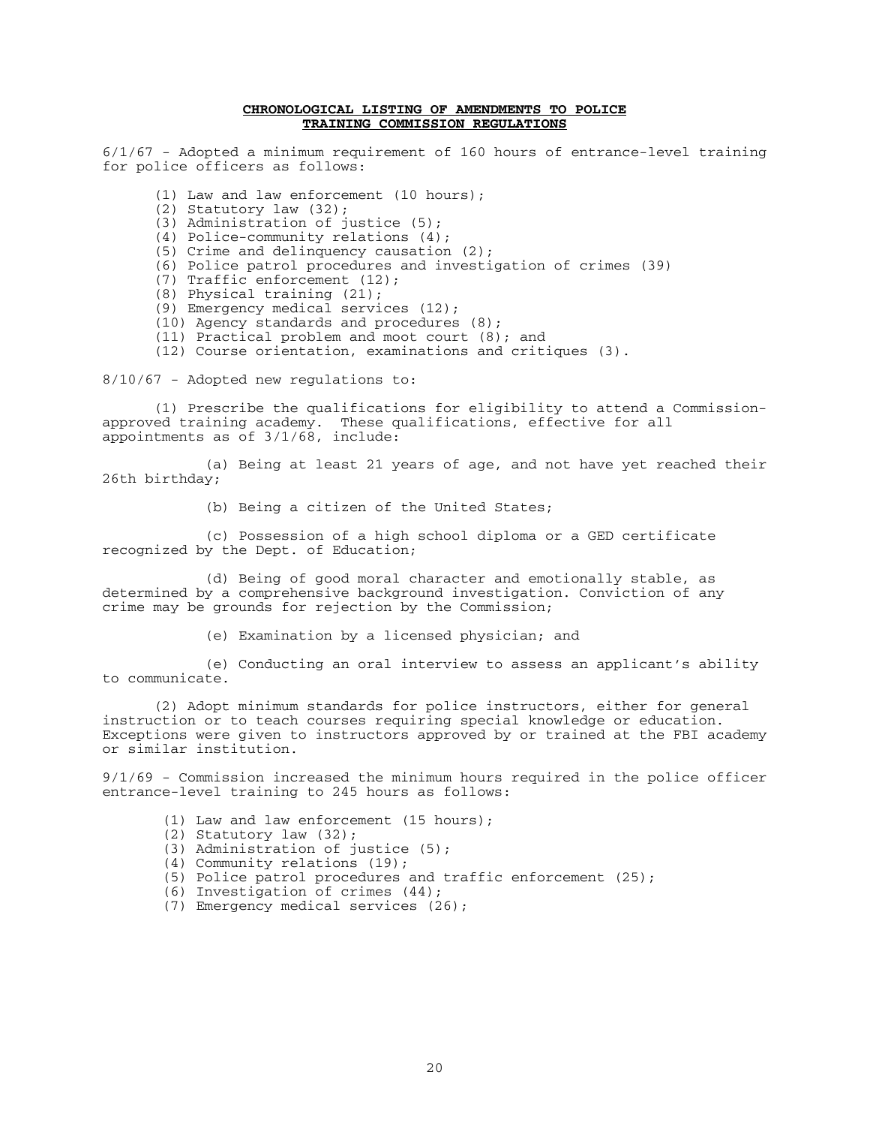#### **CHRONOLOGICAL LISTING OF AMENDMENTS TO POLICE TRAINING COMMISSION REGULATIONS**

6/1/67 - Adopted a minimum requirement of 160 hours of entrance-level training for police officers as follows:

(1) Law and law enforcement (10 hours);

- (2) Statutory law (32);
- (3) Administration of justice (5);
- (4) Police-community relations (4);
- (5) Crime and delinquency causation (2);
- (6) Police patrol procedures and investigation of crimes (39)
- (7) Traffic enforcement (12);
- (8) Physical training (21);
- (9) Emergency medical services (12);
	- (10) Agency standards and procedures (8);
	- (11) Practical problem and moot court (8); and

(12) Course orientation, examinations and critiques (3).

8/10/67 - Adopted new regulations to:

 (1) Prescribe the qualifications for eligibility to attend a Commissionapproved training academy. These qualifications, effective for all appointments as of 3/1/68, include:

 (a) Being at least 21 years of age, and not have yet reached their 26th birthday;

(b) Being a citizen of the United States;

 (c) Possession of a high school diploma or a GED certificate recognized by the Dept. of Education;

 (d) Being of good moral character and emotionally stable, as determined by a comprehensive background investigation. Conviction of any crime may be grounds for rejection by the Commission;

(e) Examination by a licensed physician; and

 (e) Conducting an oral interview to assess an applicant's ability to communicate.

 (2) Adopt minimum standards for police instructors, either for general instruction or to teach courses requiring special knowledge or education. Exceptions were given to instructors approved by or trained at the FBI academy or similar institution.

9/1/69 - Commission increased the minimum hours required in the police officer entrance-level training to 245 hours as follows:

- (1) Law and law enforcement (15 hours);
- (2) Statutory law (32);
- (3) Administration of justice (5);
- (4) Community relations (19);
- (5) Police patrol procedures and traffic enforcement (25);
- (6) Investigation of crimes (44);
- (7) Emergency medical services (26);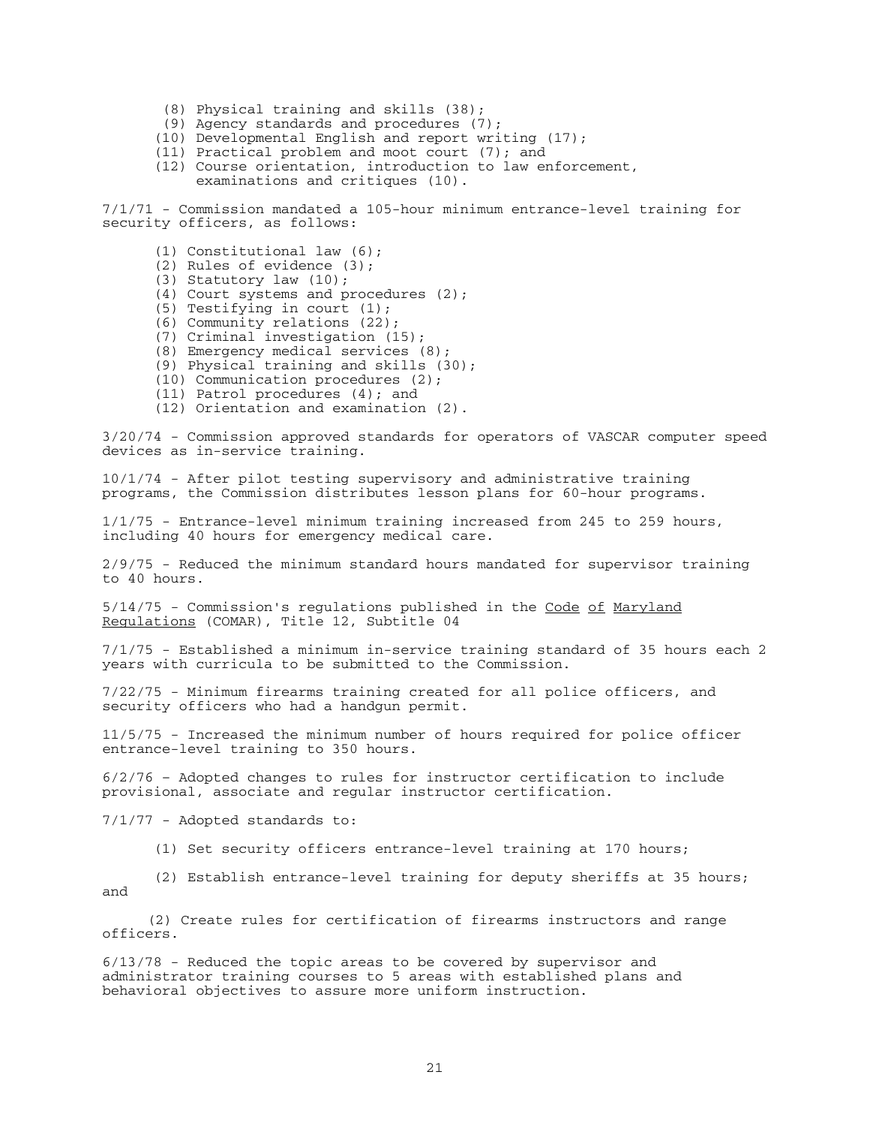- (8) Physical training and skills (38);
- (9) Agency standards and procedures (7);
- (10) Developmental English and report writing (17);
- (11) Practical problem and moot court (7); and
- (12) Course orientation, introduction to law enforcement, examinations and critiques (10).

7/1/71 - Commission mandated a 105-hour minimum entrance-level training for security officers, as follows:

- (1) Constitutional law (6);
- (2) Rules of evidence (3);
- (3) Statutory law (10);
- (4) Court systems and procedures (2);
- (5) Testifying in court (1);
- (6) Community relations (22);
- (7) Criminal investigation (15);
	- (8) Emergency medical services (8);
	- (9) Physical training and skills (30);
	- (10) Communication procedures (2);
	- (11) Patrol procedures (4); and
	- (12) Orientation and examination (2).

3/20/74 - Commission approved standards for operators of VASCAR computer speed devices as in-service training.

10/1/74 - After pilot testing supervisory and administrative training programs, the Commission distributes lesson plans for 60-hour programs.

1/1/75 - Entrance-level minimum training increased from 245 to 259 hours, including 40 hours for emergency medical care.

2/9/75 - Reduced the minimum standard hours mandated for supervisor training to 40 hours.

5/14/75 - Commission's regulations published in the Code of Maryland Regulations (COMAR), Title 12, Subtitle 04

7/1/75 - Established a minimum in-service training standard of 35 hours each 2 years with curricula to be submitted to the Commission.

7/22/75 - Minimum firearms training created for all police officers, and security officers who had a handgun permit.

11/5/75 - Increased the minimum number of hours required for police officer entrance-level training to 350 hours.

6/2/76 – Adopted changes to rules for instructor certification to include provisional, associate and regular instructor certification.

7/1/77 - Adopted standards to:

(1) Set security officers entrance-level training at 170 hours;

 (2) Establish entrance-level training for deputy sheriffs at 35 hours; and

(2) Create rules for certification of firearms instructors and range officers.

6/13/78 - Reduced the topic areas to be covered by supervisor and administrator training courses to 5 areas with established plans and behavioral objectives to assure more uniform instruction.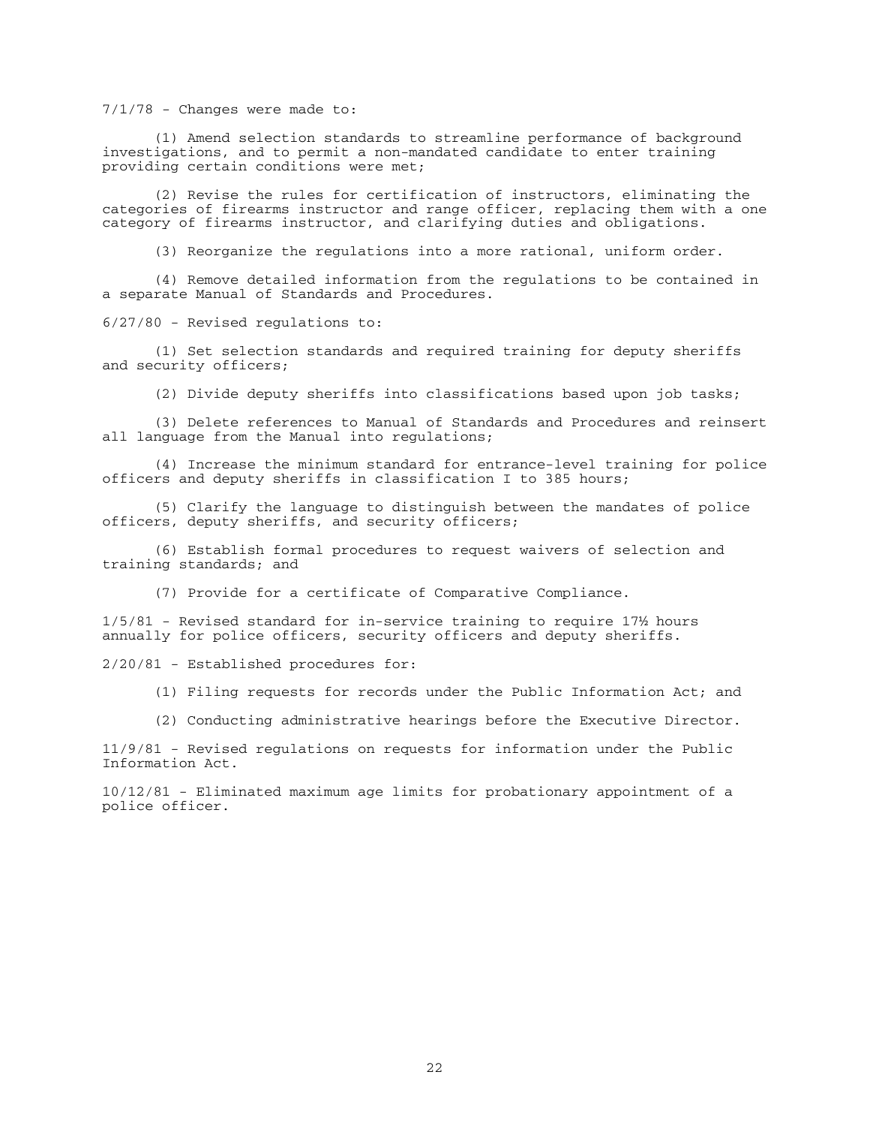# 7/1/78 - Changes were made to:

 (1) Amend selection standards to streamline performance of background investigations, and to permit a non-mandated candidate to enter training providing certain conditions were met;

 (2) Revise the rules for certification of instructors, eliminating the categories of firearms instructor and range officer, replacing them with a one category of firearms instructor, and clarifying duties and obligations.

(3) Reorganize the regulations into a more rational, uniform order.

 (4) Remove detailed information from the regulations to be contained in a separate Manual of Standards and Procedures.

6/27/80 - Revised regulations to:

 (1) Set selection standards and required training for deputy sheriffs and security officers;

(2) Divide deputy sheriffs into classifications based upon job tasks;

 (3) Delete references to Manual of Standards and Procedures and reinsert all language from the Manual into regulations;

 (4) Increase the minimum standard for entrance-level training for police officers and deputy sheriffs in classification I to 385 hours;

 (5) Clarify the language to distinguish between the mandates of police officers, deputy sheriffs, and security officers;

 (6) Establish formal procedures to request waivers of selection and training standards; and

(7) Provide for a certificate of Comparative Compliance.

1/5/81 - Revised standard for in-service training to require 17½ hours annually for police officers, security officers and deputy sheriffs.

2/20/81 - Established procedures for:

(1) Filing requests for records under the Public Information Act; and

(2) Conducting administrative hearings before the Executive Director.

11/9/81 - Revised regulations on requests for information under the Public Information Act.

10/12/81 - Eliminated maximum age limits for probationary appointment of a police officer.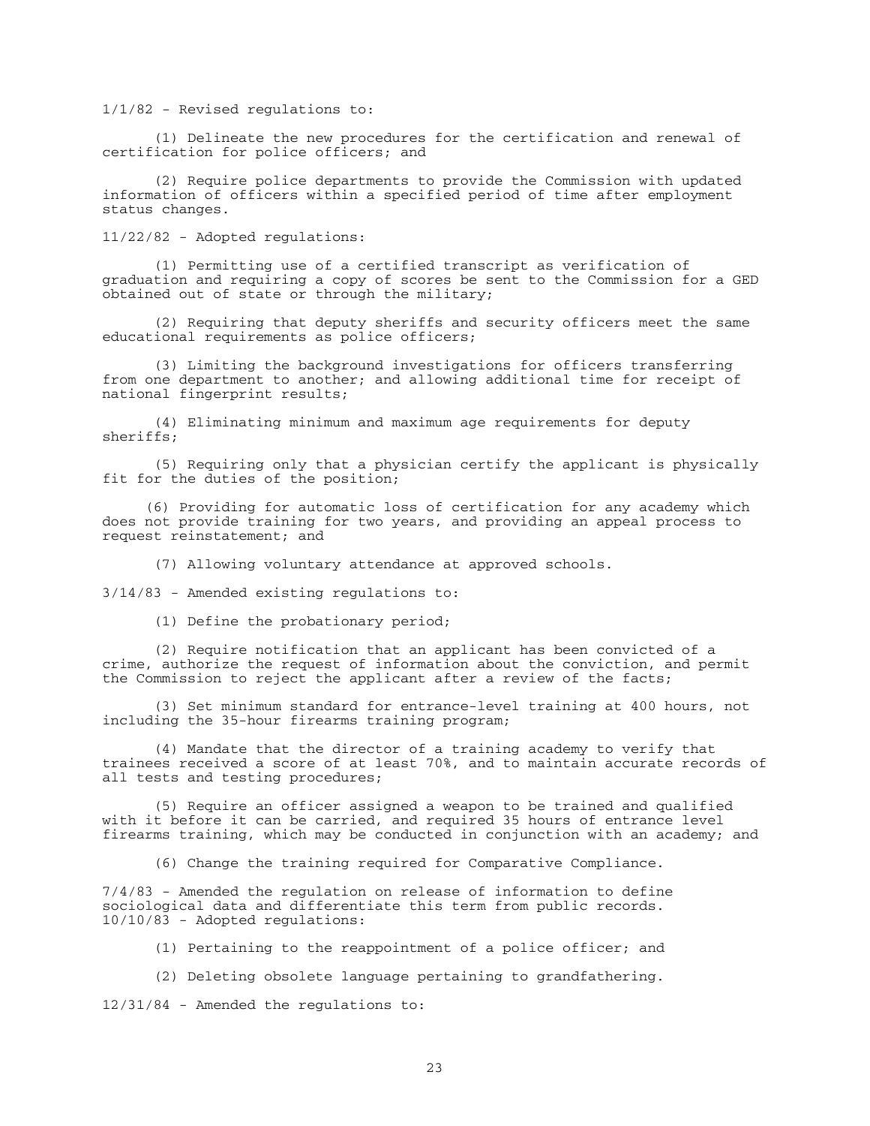1/1/82 - Revised regulations to:

 (1) Delineate the new procedures for the certification and renewal of certification for police officers; and

 (2) Require police departments to provide the Commission with updated information of officers within a specified period of time after employment status changes.

11/22/82 - Adopted regulations:

 (1) Permitting use of a certified transcript as verification of graduation and requiring a copy of scores be sent to the Commission for a GED obtained out of state or through the military;

 (2) Requiring that deputy sheriffs and security officers meet the same educational requirements as police officers;

 (3) Limiting the background investigations for officers transferring from one department to another; and allowing additional time for receipt of national fingerprint results;

 (4) Eliminating minimum and maximum age requirements for deputy sheriffs;

 (5) Requiring only that a physician certify the applicant is physically fit for the duties of the position;

 (6) Providing for automatic loss of certification for any academy which does not provide training for two years, and providing an appeal process to request reinstatement; and

(7) Allowing voluntary attendance at approved schools.

3/14/83 - Amended existing regulations to:

(1) Define the probationary period;

 (2) Require notification that an applicant has been convicted of a crime, authorize the request of information about the conviction, and permit the Commission to reject the applicant after a review of the facts;

 (3) Set minimum standard for entrance-level training at 400 hours, not including the 35-hour firearms training program;

 (4) Mandate that the director of a training academy to verify that trainees received a score of at least 70%, and to maintain accurate records of all tests and testing procedures;

 (5) Require an officer assigned a weapon to be trained and qualified with it before it can be carried, and required 35 hours of entrance level firearms training, which may be conducted in conjunction with an academy; and

(6) Change the training required for Comparative Compliance.

7/4/83 - Amended the regulation on release of information to define sociological data and differentiate this term from public records. 10/10/83 - Adopted regulations:

(1) Pertaining to the reappointment of a police officer; and

(2) Deleting obsolete language pertaining to grandfathering.

12/31/84 - Amended the regulations to: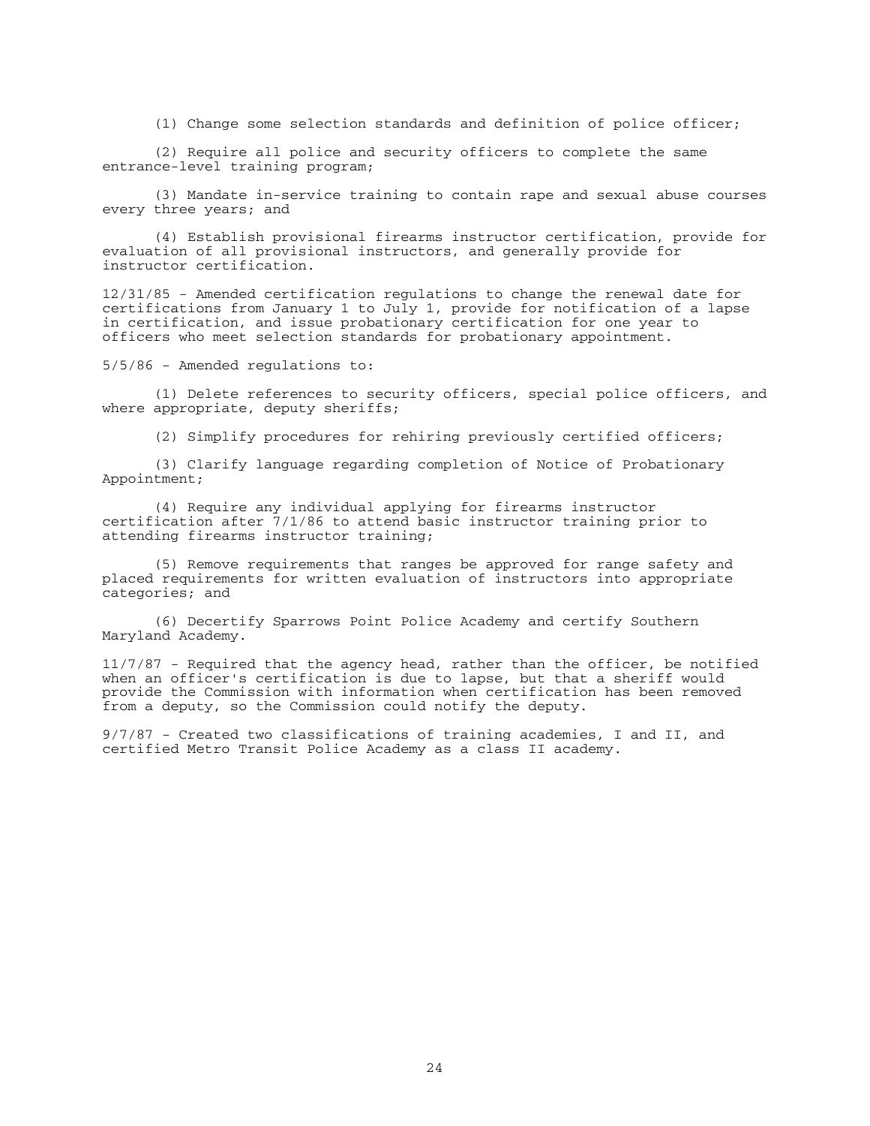(1) Change some selection standards and definition of police officer;

 (2) Require all police and security officers to complete the same entrance-level training program;

 (3) Mandate in-service training to contain rape and sexual abuse courses every three years; and

 (4) Establish provisional firearms instructor certification, provide for evaluation of all provisional instructors, and generally provide for instructor certification.

12/31/85 - Amended certification regulations to change the renewal date for certifications from January 1 to July 1, provide for notification of a lapse in certification, and issue probationary certification for one year to officers who meet selection standards for probationary appointment.

5/5/86 - Amended regulations to:

 (1) Delete references to security officers, special police officers, and where appropriate, deputy sheriffs;

(2) Simplify procedures for rehiring previously certified officers;

 (3) Clarify language regarding completion of Notice of Probationary Appointment;

 (4) Require any individual applying for firearms instructor certification after 7/1/86 to attend basic instructor training prior to attending firearms instructor training;

 (5) Remove requirements that ranges be approved for range safety and placed requirements for written evaluation of instructors into appropriate categories; and

 (6) Decertify Sparrows Point Police Academy and certify Southern Maryland Academy.

11/7/87 - Required that the agency head, rather than the officer, be notified when an officer's certification is due to lapse, but that a sheriff would provide the Commission with information when certification has been removed from a deputy, so the Commission could notify the deputy.

9/7/87 - Created two classifications of training academies, I and II, and certified Metro Transit Police Academy as a class II academy.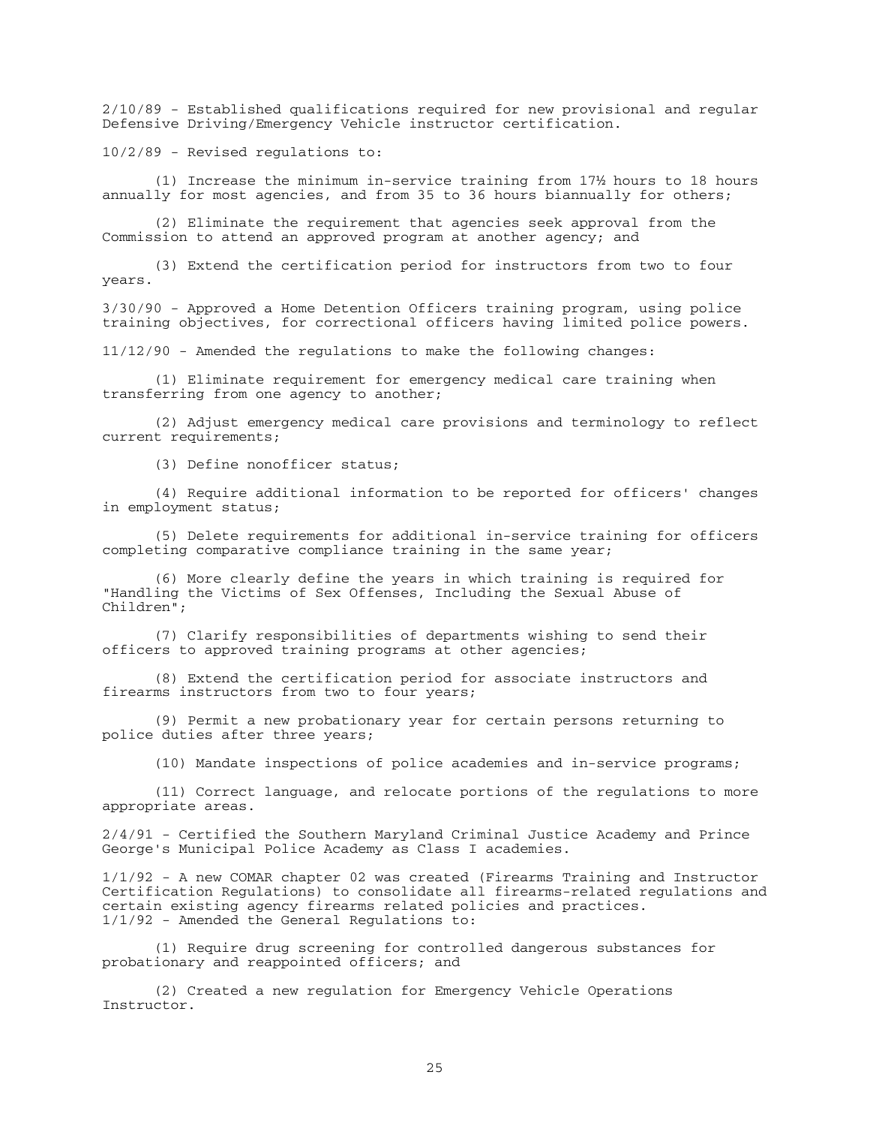2/10/89 - Established qualifications required for new provisional and regular Defensive Driving/Emergency Vehicle instructor certification.

10/2/89 - Revised regulations to:

 (1) Increase the minimum in-service training from 17½ hours to 18 hours annually for most agencies, and from 35 to 36 hours biannually for others;

 (2) Eliminate the requirement that agencies seek approval from the Commission to attend an approved program at another agency; and

 (3) Extend the certification period for instructors from two to four years.

3/30/90 - Approved a Home Detention Officers training program, using police training objectives, for correctional officers having limited police powers.

11/12/90 - Amended the regulations to make the following changes:

 (1) Eliminate requirement for emergency medical care training when transferring from one agency to another;

 (2) Adjust emergency medical care provisions and terminology to reflect current requirements;

(3) Define nonofficer status;

 (4) Require additional information to be reported for officers' changes in employment status;

 (5) Delete requirements for additional in-service training for officers completing comparative compliance training in the same year;

 (6) More clearly define the years in which training is required for "Handling the Victims of Sex Offenses, Including the Sexual Abuse of Children";

 (7) Clarify responsibilities of departments wishing to send their officers to approved training programs at other agencies;

 (8) Extend the certification period for associate instructors and firearms instructors from two to four years;

 (9) Permit a new probationary year for certain persons returning to police duties after three years;

(10) Mandate inspections of police academies and in-service programs;

 (11) Correct language, and relocate portions of the regulations to more appropriate areas.

2/4/91 - Certified the Southern Maryland Criminal Justice Academy and Prince George's Municipal Police Academy as Class I academies.

1/1/92 - A new COMAR chapter 02 was created (Firearms Training and Instructor Certification Regulations) to consolidate all firearms-related regulations and certain existing agency firearms related policies and practices. 1/1/92 - Amended the General Regulations to:

 (1) Require drug screening for controlled dangerous substances for probationary and reappointed officers; and

 (2) Created a new regulation for Emergency Vehicle Operations Instructor.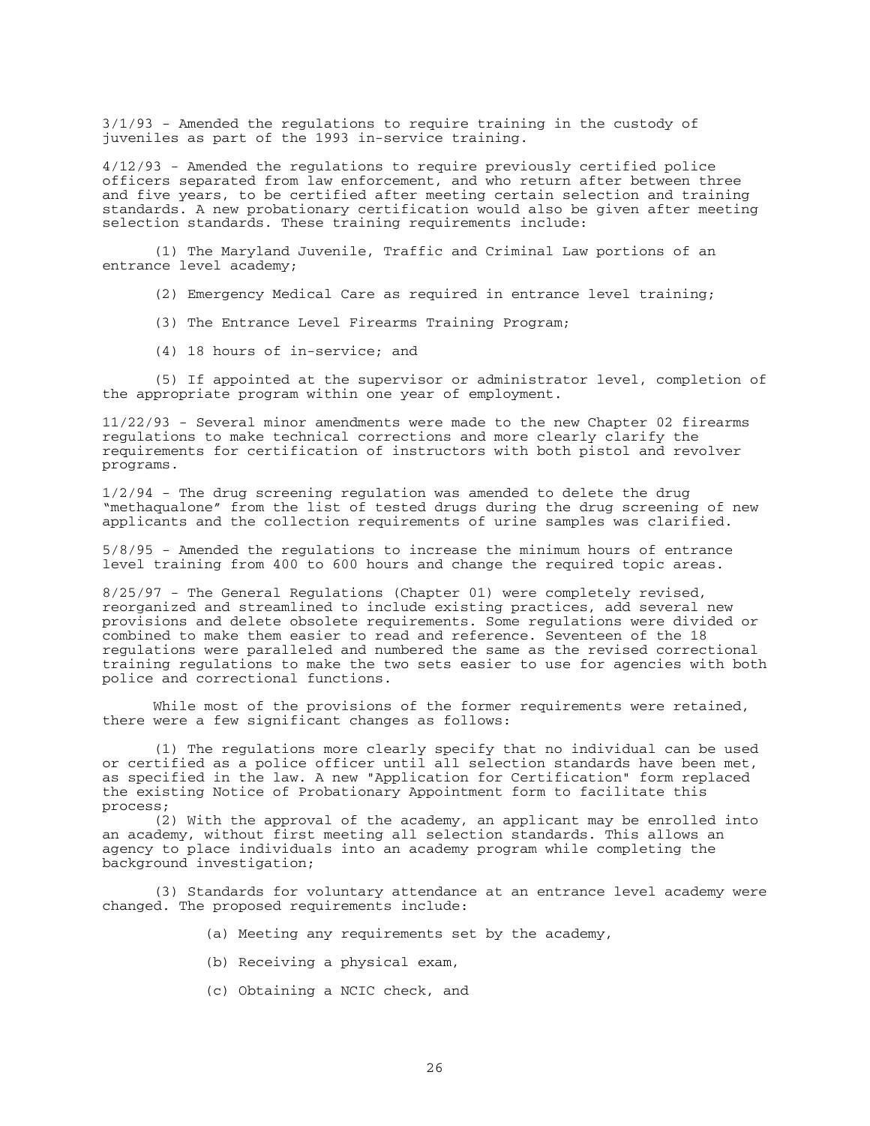3/1/93 - Amended the regulations to require training in the custody of juveniles as part of the 1993 in-service training.

4/12/93 - Amended the regulations to require previously certified police officers separated from law enforcement, and who return after between three and five years, to be certified after meeting certain selection and training standards. A new probationary certification would also be given after meeting selection standards. These training requirements include:

 (1) The Maryland Juvenile, Traffic and Criminal Law portions of an entrance level academy;

(2) Emergency Medical Care as required in entrance level training;

- (3) The Entrance Level Firearms Training Program;
- (4) 18 hours of in-service; and

 (5) If appointed at the supervisor or administrator level, completion of the appropriate program within one year of employment.

11/22/93 - Several minor amendments were made to the new Chapter 02 firearms regulations to make technical corrections and more clearly clarify the requirements for certification of instructors with both pistol and revolver programs.

1/2/94 - The drug screening regulation was amended to delete the drug "methaqualone" from the list of tested drugs during the drug screening of new applicants and the collection requirements of urine samples was clarified.

5/8/95 - Amended the regulations to increase the minimum hours of entrance level training from 400 to 600 hours and change the required topic areas.

8/25/97 - The General Regulations (Chapter 01) were completely revised, reorganized and streamlined to include existing practices, add several new provisions and delete obsolete requirements. Some regulations were divided or combined to make them easier to read and reference. Seventeen of the 18 regulations were paralleled and numbered the same as the revised correctional training regulations to make the two sets easier to use for agencies with both police and correctional functions.

 While most of the provisions of the former requirements were retained, there were a few significant changes as follows:

 (1) The regulations more clearly specify that no individual can be used or certified as a police officer until all selection standards have been met, as specified in the law. A new "Application for Certification" form replaced the existing Notice of Probationary Appointment form to facilitate this process;

 (2) With the approval of the academy, an applicant may be enrolled into an academy, without first meeting all selection standards. This allows an agency to place individuals into an academy program while completing the background investigation;

 (3) Standards for voluntary attendance at an entrance level academy were changed. The proposed requirements include:

- (a) Meeting any requirements set by the academy,
- (b) Receiving a physical exam,
- (c) Obtaining a NCIC check, and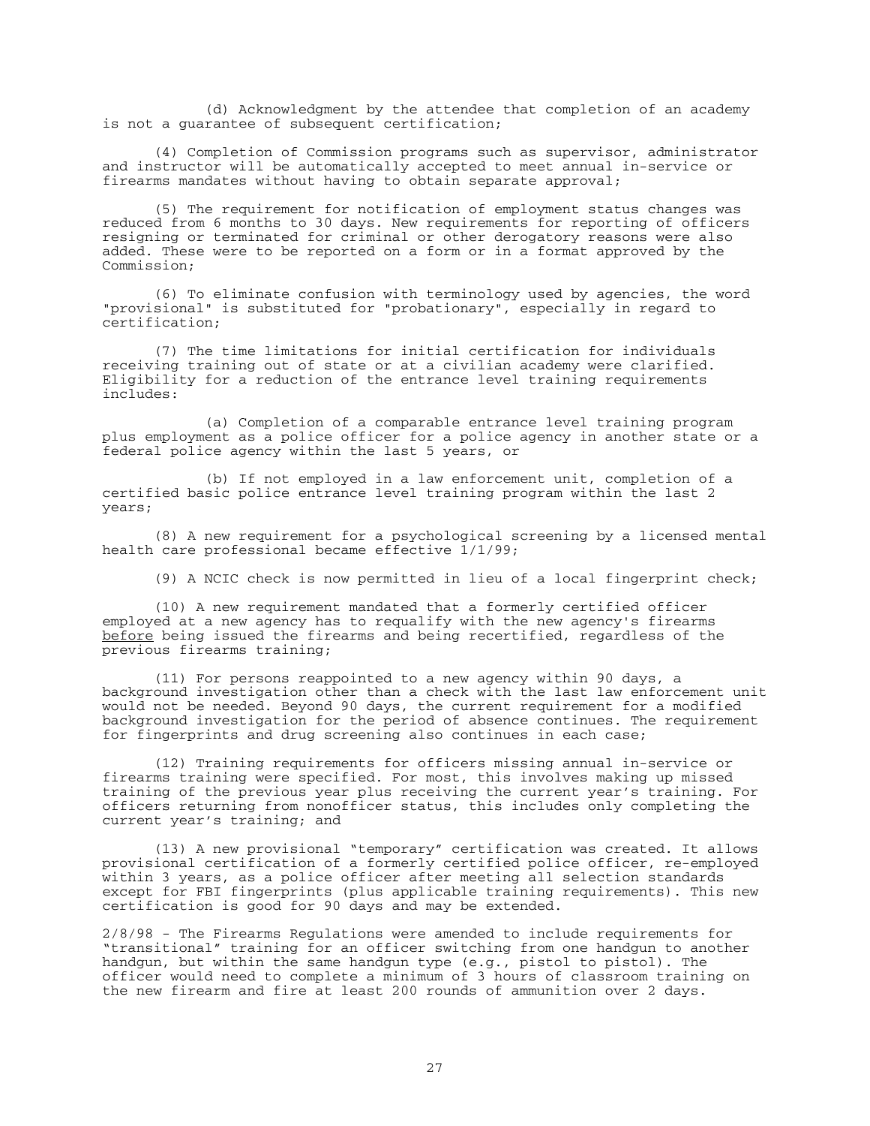(d) Acknowledgment by the attendee that completion of an academy is not a guarantee of subsequent certification;

 (4) Completion of Commission programs such as supervisor, administrator and instructor will be automatically accepted to meet annual in-service or firearms mandates without having to obtain separate approval;

(5) The requirement for notification of employment status changes was reduced from 6 months to 30 days. New requirements for reporting of officers resigning or terminated for criminal or other derogatory reasons were also added. These were to be reported on a form or in a format approved by the Commission;

 (6) To eliminate confusion with terminology used by agencies, the word "provisional" is substituted for "probationary", especially in regard to certification;

 (7) The time limitations for initial certification for individuals receiving training out of state or at a civilian academy were clarified. Eligibility for a reduction of the entrance level training requirements includes:

 (a) Completion of a comparable entrance level training program plus employment as a police officer for a police agency in another state or a federal police agency within the last 5 years, or

 (b) If not employed in a law enforcement unit, completion of a certified basic police entrance level training program within the last 2 years;

 (8) A new requirement for a psychological screening by a licensed mental health care professional became effective 1/1/99;

(9) A NCIC check is now permitted in lieu of a local fingerprint check;

 (10) A new requirement mandated that a formerly certified officer employed at a new agency has to requalify with the new agency's firearms before being issued the firearms and being recertified, regardless of the previous firearms training;

 (11) For persons reappointed to a new agency within 90 days, a background investigation other than a check with the last law enforcement unit would not be needed. Beyond 90 days, the current requirement for a modified background investigation for the period of absence continues. The requirement for fingerprints and drug screening also continues in each case;

 (12) Training requirements for officers missing annual in-service or firearms training were specified. For most, this involves making up missed training of the previous year plus receiving the current year's training. For officers returning from nonofficer status, this includes only completing the current year's training; and

 (13) A new provisional "temporary" certification was created. It allows provisional certification of a formerly certified police officer, re-employed within 3 years, as a police officer after meeting all selection standards except for FBI fingerprints (plus applicable training requirements). This new certification is good for 90 days and may be extended.

2/8/98 - The Firearms Regulations were amended to include requirements for "transitional" training for an officer switching from one handgun to another handgun, but within the same handgun type (e.g., pistol to pistol). The officer would need to complete a minimum of 3 hours of classroom training on the new firearm and fire at least 200 rounds of ammunition over 2 days.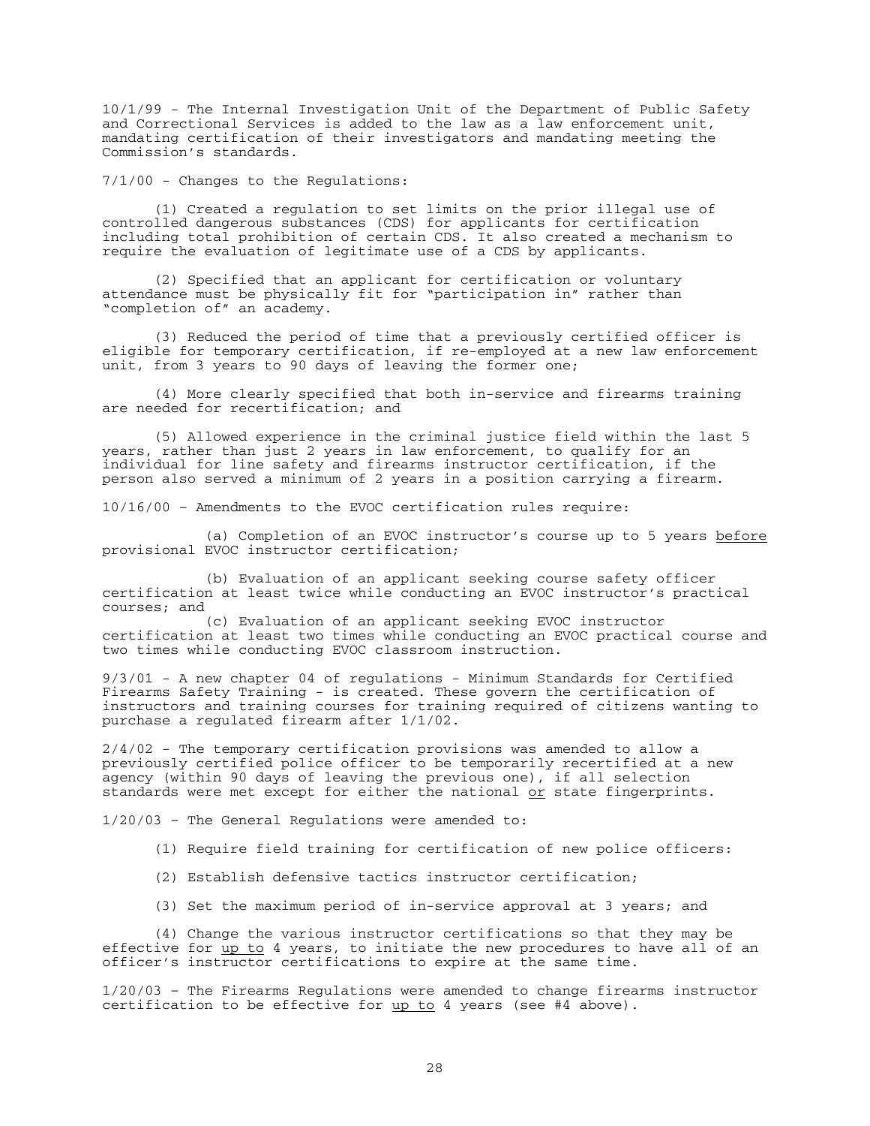10/1/99 - The Internal Investigation Unit of the Department of Public Safety and Correctional Services is added to the law as a law enforcement unit, mandating certification of their investigators and mandating meeting the Commission's standards.

7/1/00 - Changes to the Regulations:

 (1) Created a regulation to set limits on the prior illegal use of controlled dangerous substances (CDS) for applicants for certification including total prohibition of certain CDS. It also created a mechanism to require the evaluation of legitimate use of a CDS by applicants.

 (2) Specified that an applicant for certification or voluntary attendance must be physically fit for "participation in" rather than "completion of" an academy.

 (3) Reduced the period of time that a previously certified officer is eligible for temporary certification, if re-employed at a new law enforcement unit, from 3 years to 90 days of leaving the former one;

 (4) More clearly specified that both in-service and firearms training are needed for recertification; and

 (5) Allowed experience in the criminal justice field within the last 5 years, rather than just 2 years in law enforcement, to qualify for an individual for line safety and firearms instructor certification, if the person also served a minimum of 2 years in a position carrying a firearm.

10/16/00 – Amendments to the EVOC certification rules require:

 (a) Completion of an EVOC instructor's course up to 5 years before provisional EVOC instructor certification;

 (b) Evaluation of an applicant seeking course safety officer certification at least twice while conducting an EVOC instructor's practical courses; and

 (c) Evaluation of an applicant seeking EVOC instructor certification at least two times while conducting an EVOC practical course and two times while conducting EVOC classroom instruction.

9/3/01 - A new chapter 04 of regulations - Minimum Standards for Certified Firearms Safety Training - is created. These govern the certification of instructors and training courses for training required of citizens wanting to purchase a regulated firearm after 1/1/02.

2/4/02 - The temporary certification provisions was amended to allow a previously certified police officer to be temporarily recertified at a new agency (within 90 days of leaving the previous one), if all selection standards were met except for either the national or state fingerprints.

1/20/03 – The General Regulations were amended to:

- (1) Require field training for certification of new police officers:
- (2) Establish defensive tactics instructor certification;
- (3) Set the maximum period of in-service approval at 3 years; and

(4) Change the various instructor certifications so that they may be effective for up to 4 years, to initiate the new procedures to have all of an officer's instructor certifications to expire at the same time.

1/20/03 – The Firearms Regulations were amended to change firearms instructor certification to be effective for up to 4 years (see #4 above).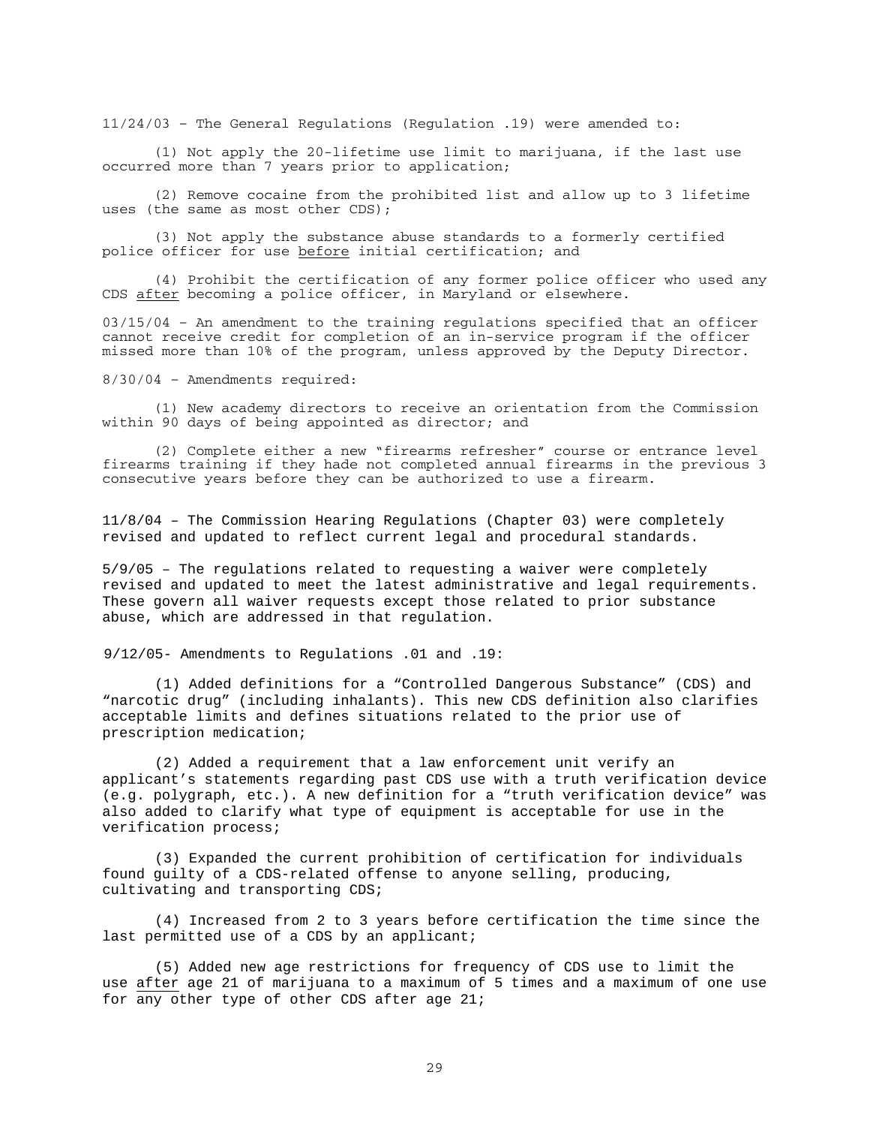11/24/03 – The General Regulations (Regulation .19) were amended to:

 (1) Not apply the 20-lifetime use limit to marijuana, if the last use occurred more than 7 years prior to application;

 (2) Remove cocaine from the prohibited list and allow up to 3 lifetime uses (the same as most other CDS);

 (3) Not apply the substance abuse standards to a formerly certified police officer for use before initial certification; and

 (4) Prohibit the certification of any former police officer who used any CDS after becoming a police officer, in Maryland or elsewhere.

03/15/04 – An amendment to the training regulations specified that an officer cannot receive credit for completion of an in-service program if the officer missed more than 10% of the program, unless approved by the Deputy Director.

8/30/04 – Amendments required:

(1) New academy directors to receive an orientation from the Commission within 90 days of being appointed as director; and

 (2) Complete either a new "firearms refresher" course or entrance level firearms training if they hade not completed annual firearms in the previous 3 consecutive years before they can be authorized to use a firearm.

11/8/04 – The Commission Hearing Regulations (Chapter 03) were completely revised and updated to reflect current legal and procedural standards.

5/9/05 – The regulations related to requesting a waiver were completely revised and updated to meet the latest administrative and legal requirements. These govern all waiver requests except those related to prior substance abuse, which are addressed in that regulation.

9/12/05- Amendments to Regulations .01 and .19:

(1) Added definitions for a "Controlled Dangerous Substance" (CDS) and "narcotic drug" (including inhalants). This new CDS definition also clarifies acceptable limits and defines situations related to the prior use of prescription medication;

(2) Added a requirement that a law enforcement unit verify an applicant's statements regarding past CDS use with a truth verification device (e.g. polygraph, etc.). A new definition for a "truth verification device" was also added to clarify what type of equipment is acceptable for use in the verification process;

(3) Expanded the current prohibition of certification for individuals found guilty of a CDS-related offense to anyone selling, producing, cultivating and transporting CDS;

(4) Increased from 2 to 3 years before certification the time since the last permitted use of a CDS by an applicant;

(5) Added new age restrictions for frequency of CDS use to limit the use after age 21 of marijuana to a maximum of 5 times and a maximum of one use for any other type of other CDS after age 21;